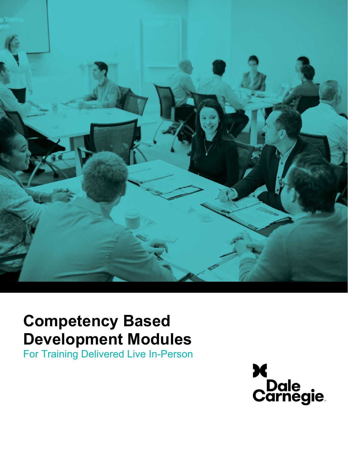

# **Competency Based Development Modules**

For Training Delivered Live In-Person

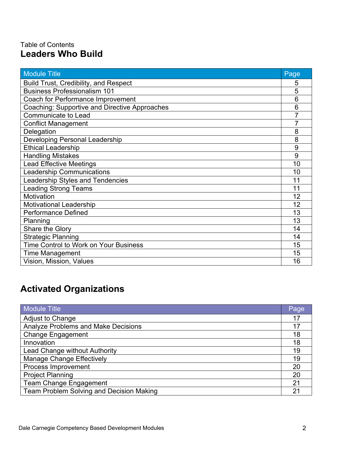## Table of Contents **Leaders Who Build**

| <b>Module Title</b>                           | Page           |
|-----------------------------------------------|----------------|
| <b>Build Trust, Credibility, and Respect</b>  | 5              |
| <b>Business Professionalism 101</b>           | 5              |
| Coach for Performance Improvement             | 6              |
| Coaching: Supportive and Directive Approaches | 6              |
| Communicate to Lead                           | 7              |
| <b>Conflict Management</b>                    | $\overline{7}$ |
| Delegation                                    | 8              |
| <b>Developing Personal Leadership</b>         | 8              |
| <b>Ethical Leadership</b>                     | 9              |
| <b>Handling Mistakes</b>                      | 9              |
| <b>Lead Effective Meetings</b>                | 10             |
| <b>Leadership Communications</b>              | 10             |
| <b>Leadership Styles and Tendencies</b>       | 11             |
| <b>Leading Strong Teams</b>                   | 11             |
| <b>Motivation</b>                             | 12             |
| <b>Motivational Leadership</b>                | 12             |
| <b>Performance Defined</b>                    | 13             |
| Planning                                      | 13             |
| Share the Glory                               | 14             |
| <b>Strategic Planning</b>                     | 14             |
| Time Control to Work on Your Business         | 15             |
| <b>Time Management</b>                        | 15             |
| Vision, Mission, Values                       | 16             |

## **Activated Organizations**

| <b>Module Title</b>                        | Page |
|--------------------------------------------|------|
| Adjust to Change                           | 17   |
| <b>Analyze Problems and Make Decisions</b> | 17   |
| <b>Change Engagement</b>                   | 18   |
| Innovation                                 | 18   |
| Lead Change without Authority              | 19   |
| <b>Manage Change Effectively</b>           | 19   |
| Process Improvement                        | 20   |
| <b>Project Planning</b>                    | 20   |
| <b>Team Change Engagement</b>              | 21   |
| Team Problem Solving and Decision Making   | 21   |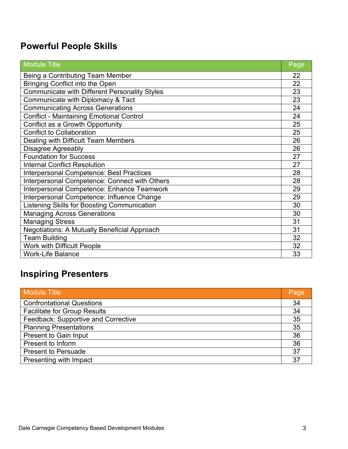| <b>Module Title</b>                                  | Page |
|------------------------------------------------------|------|
| Being a Contributing Team Member                     | 22   |
| <b>Bringing Conflict into the Open</b>               | 22   |
| <b>Communicate with Different Personality Styles</b> | 23   |
| Communicate with Diplomacy & Tact                    | 23   |
| <b>Communicating Across Generations</b>              | 24   |
| <b>Conflict - Maintaining Emotional Control</b>      | 24   |
| Conflict as a Growth Opportunity                     | 25   |
| <b>Conflict to Collaboration</b>                     | 25   |
| Dealing with Difficult Team Members                  | 26   |
| <b>Disagree Agreeably</b>                            | 26   |
| <b>Foundation for Success</b>                        | 27   |
| <b>Internal Conflict Resolution</b>                  | 27   |
| Interpersonal Competence: Best Practices             | 28   |
| Interpersonal Competence: Connect with Others        | 28   |
| Interpersonal Competence: Enhance Teamwork           | 29   |
| Interpersonal Competence: Influence Change           | 29   |
| Listening Skills for Boosting Communication          | 30   |
| <b>Managing Across Generations</b>                   | 30   |
| <b>Managing Stress</b>                               | 31   |
| <b>Negotiations: A Mutually Beneficial Approach</b>  | 31   |
| <b>Team Building</b>                                 | 32   |
| <b>Work with Difficult People</b>                    | 32   |
| <b>Work-Life Balance</b>                             | 33   |

## **Inspiring Presenters**

| <b>Module Title</b>                 | Page |
|-------------------------------------|------|
| <b>Confrontational Questions</b>    | 34   |
| <b>Facilitate for Group Results</b> | 34   |
| Feedback: Supportive and Corrective | 35   |
| <b>Planning Presentations</b>       | 35   |
| <b>Present to Gain Input</b>        | 36   |
| Present to Inform                   | 36   |
| <b>Present to Persuade</b>          | 37   |
| Presenting with Impact              | 37   |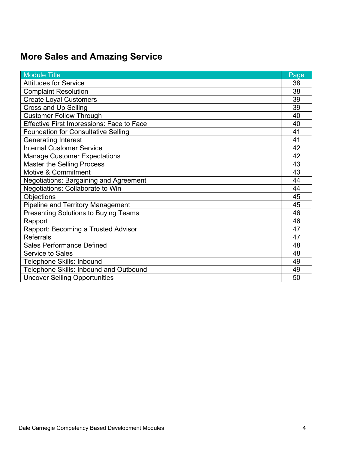| <b>Module Title</b>                              | Page |
|--------------------------------------------------|------|
| <b>Attitudes for Service</b>                     | 38   |
| <b>Complaint Resolution</b>                      | 38   |
| <b>Create Loyal Customers</b>                    | 39   |
| <b>Cross and Up Selling</b>                      | 39   |
| <b>Customer Follow Through</b>                   | 40   |
| <b>Effective First Impressions: Face to Face</b> | 40   |
| <b>Foundation for Consultative Selling</b>       | 41   |
| <b>Generating Interest</b>                       | 41   |
| <b>Internal Customer Service</b>                 | 42   |
| <b>Manage Customer Expectations</b>              | 42   |
| <b>Master the Selling Process</b>                | 43   |
| Motive & Commitment                              | 43   |
| Negotiations: Bargaining and Agreement           | 44   |
| Negotiations: Collaborate to Win                 | 44   |
| <b>Objections</b>                                | 45   |
| <b>Pipeline and Territory Management</b>         | 45   |
| <b>Presenting Solutions to Buying Teams</b>      | 46   |
| Rapport                                          | 46   |
| Rapport: Becoming a Trusted Advisor              | 47   |
| <b>Referrals</b>                                 | 47   |
| <b>Sales Performance Defined</b>                 | 48   |
| <b>Service to Sales</b>                          | 48   |
| Telephone Skills: Inbound                        | 49   |
| Telephone Skills: Inbound and Outbound           | 49   |
| <b>Uncover Selling Opportunities</b>             | 50   |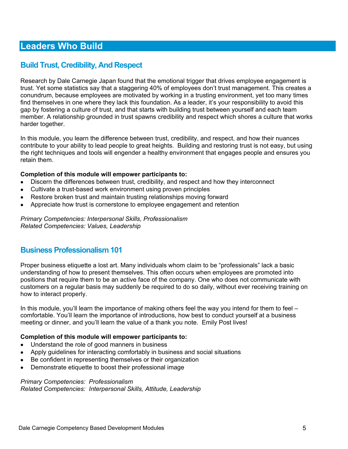## **Build Trust, Credibility, And Respect**

Research by Dale Carnegie Japan found that the emotional trigger that drives employee engagement is trust. Yet some statistics say that a staggering 40% of employees don't trust management. This creates a conundrum, because employees are motivated by working in a trusting environment, yet too many times find themselves in one where they lack this foundation. As a leader, it's your responsibility to avoid this gap by fostering a culture of trust, and that starts with building trust between yourself and each team member. A relationship grounded in trust spawns credibility and respect which shores a culture that works harder together.

In this module, you learn the difference between trust, credibility, and respect, and how their nuances contribute to your ability to lead people to great heights. Building and restoring trust is not easy, but using the right techniques and tools will engender a healthy environment that engages people and ensures you retain them.

#### **Completion of this module will empower participants to:**

- Discern the differences between trust, credibility, and respect and how they interconnect
- Cultivate a trust-based work environment using proven principles
- Restore broken trust and maintain trusting relationships moving forward
- Appreciate how trust is cornerstone to employee engagement and retention

*Primary Competencies: Interpersonal Skills, Professionalism Related Competencies: Values, Leadership* 

## **Business Professionalism 101**

Proper business etiquette a lost art. Many individuals whom claim to be "professionals" lack a basic understanding of how to present themselves. This often occurs when employees are promoted into positions that require them to be an active face of the company. One who does not communicate with customers on a regular basis may suddenly be required to do so daily, without ever receiving training on how to interact properly.

In this module, you'll learn the importance of making others feel the way you intend for them to feel – comfortable. You'll learn the importance of introductions, how best to conduct yourself at a business meeting or dinner, and you'll learn the value of a thank you note. Emily Post lives!

#### **Completion of this module will empower participants to:**

- Understand the role of good manners in business
- Apply guidelines for interacting comfortably in business and social situations
- Be confident in representing themselves or their organization
- Demonstrate etiquette to boost their professional image

#### *Primary Competencies: Professionalism*

*Related Competencies: Interpersonal Skills, Attitude, Leadership*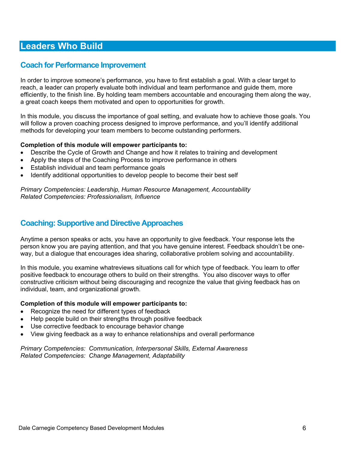### **Coach for Performance Improvement**

In order to improve someone's performance, you have to first establish a goal. With a clear target to reach, a leader can properly evaluate both individual and team performance and guide them, more efficiently, to the finish line. By holding team members accountable and encouraging them along the way, a great coach keeps them motivated and open to opportunities for growth.

In this module, you discuss the importance of goal setting, and evaluate how to achieve those goals. You will follow a proven coaching process designed to improve performance, and you'll identify additional methods for developing your team members to become outstanding performers.

#### **Completion of this module will empower participants to:**

- Describe the Cycle of Growth and Change and how it relates to training and development
- Apply the steps of the Coaching Process to improve performance in others
- Establish individual and team performance goals
- Identify additional opportunities to develop people to become their best self

*Primary Competencies: Leadership, Human Resource Management, Accountability Related Competencies: Professionalism, Influence* 

### **Coaching: Supportive and Directive Approaches**

Anytime a person speaks or acts, you have an opportunity to give feedback. Your response lets the person know you are paying attention, and that you have genuine interest. Feedback shouldn't be oneway, but a dialogue that encourages idea sharing, collaborative problem solving and accountability.

In this module, you examine whatreviews situations call for which type of feedback. You learn to offer positive feedback to encourage others to build on their strengths. You also discover ways to offer constructive criticism without being discouraging and recognize the value that giving feedback has on individual, team, and organizational growth.

#### **Completion of this module will empower participants to:**

- Recognize the need for different types of feedback
- Help people build on their strengths through positive feedback
- Use corrective feedback to encourage behavior change
- View giving feedback as a way to enhance relationships and overall performance

*Primary Competencies: Communication, Interpersonal Skills, External Awareness Related Competencies: Change Management, Adaptability*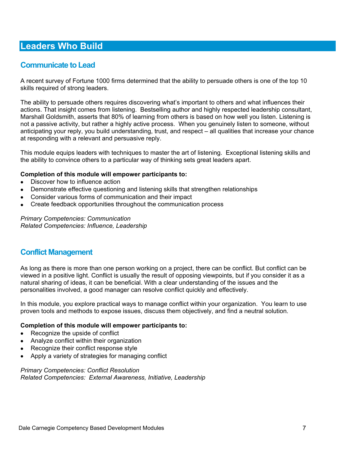## **Communicate to Lead**

A recent survey of Fortune 1000 firms determined that the ability to persuade others is one of the top 10 skills required of strong leaders.

The ability to persuade others requires discovering what's important to others and what influences their actions. That insight comes from listening. Bestselling author and highly respected leadership consultant, Marshall Goldsmith, asserts that 80% of learning from others is based on how well you listen. Listening is not a passive activity, but rather a highly active process. When you genuinely listen to someone, without anticipating your reply, you build understanding, trust, and respect – all qualities that increase your chance at responding with a relevant and persuasive reply.

This module equips leaders with techniques to master the art of listening. Exceptional listening skills and the ability to convince others to a particular way of thinking sets great leaders apart.

#### **Completion of this module will empower participants to:**

- Discover how to influence action
- Demonstrate effective questioning and listening skills that strengthen relationships
- Consider various forms of communication and their impact
- Create feedback opportunities throughout the communication process

*Primary Competencies: Communication Related Competencies: Influence, Leadership* 

### **Conflict Management**

As long as there is more than one person working on a project, there can be conflict. But conflict can be viewed in a positive light. Conflict is usually the result of opposing viewpoints, but if you consider it as a natural sharing of ideas, it can be beneficial. With a clear understanding of the issues and the personalities involved, a good manager can resolve conflict quickly and effectively.

In this module, you explore practical ways to manage conflict within your organization. You learn to use proven tools and methods to expose issues, discuss them objectively, and find a neutral solution.

#### **Completion of this module will empower participants to:**

- Recognize the upside of conflict
- Analyze conflict within their organization
- Recognize their conflict response style
- Apply a variety of strategies for managing conflict

*Primary Competencies: Conflict Resolution Related Competencies: External Awareness, Initiative, Leadership*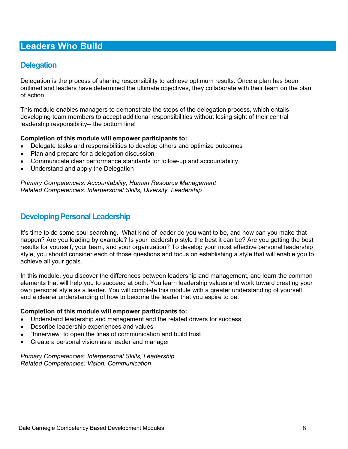## **Delegation**

Delegation is the process of sharing responsibility to achieve optimum results. Once a plan has been outlined and leaders have determined the ultimate objectives, they collaborate with their team on the plan of action.

This module enables managers to demonstrate the steps of the delegation process, which entails developing team members to accept additional responsibilities without losing sight of their central leadership responsibility-- the bottom line!

#### **Completion of this module will empower participants to:**

- Delegate tasks and responsibilities to develop others and optimize outcomes
- Plan and prepare for a delegation discussion
- Communicate clear performance standards for follow-up and accountability
- Understand and apply the Delegation

*Primary Competencies: Accountability, Human Resource Management Related Competencies: Interpersonal Skills, Diversity, Leadership* 

### **Developing Personal Leadership**

It's time to do some soul searching. What kind of leader do you want to be, and how can you make that happen? Are you leading by example? Is your leadership style the best it can be? Are you getting the best results for yourself, your team, and your organization? To develop your most effective personal leadership style, you should consider each of those questions and focus on establishing a style that will enable you to achieve all your goals.

In this module, you discover the differences between leadership and management, and learn the common elements that will help you to succeed at both. You learn leadership values and work toward creating your own personal style as a leader. You will complete this module with a greater understanding of yourself, and a clearer understanding of how to become the leader that you aspire to be.

#### **Completion of this module will empower participants to:**

- Understand leadership and management and the related drivers for success
- Describe leadership experiences and values
- "Innerview" to open the lines of communication and build trust
- Create a personal vision as a leader and manager

*Primary Competencies: Interpersonal Skills, Leadership Related Competencies: Vision, Communication*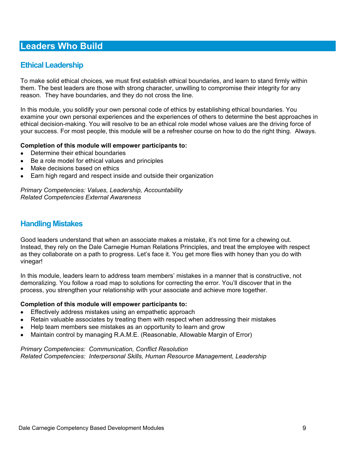## **Ethical Leadership**

To make solid ethical choices, we must first establish ethical boundaries, and learn to stand firmly within them. The best leaders are those with strong character, unwilling to compromise their integrity for any reason. They have boundaries, and they do not cross the line.

In this module, you solidify your own personal code of ethics by establishing ethical boundaries. You examine your own personal experiences and the experiences of others to determine the best approaches in ethical decision-making. You will resolve to be an ethical role model whose values are the driving force of your success. For most people, this module will be a refresher course on how to do the right thing. Always.

#### **Completion of this module will empower participants to:**

- Determine their ethical boundaries
- Be a role model for ethical values and principles
- Make decisions based on ethics
- Earn high regard and respect inside and outside their organization

*Primary Competencies: Values, Leadership, Accountability Related Competencies External Awareness* 

### **Handling Mistakes**

Good leaders understand that when an associate makes a mistake, it's not time for a chewing out. Instead, they rely on the Dale Carnegie Human Relations Principles, and treat the employee with respect as they collaborate on a path to progress. Let's face it. You get more flies with honey than you do with vinegar!

In this module, leaders learn to address team members' mistakes in a manner that is constructive, not demoralizing. You follow a road map to solutions for correcting the error. You'll discover that in the process, you strengthen your relationship with your associate and achieve more together.

#### **Completion of this module will empower participants to:**

- **Effectively address mistakes using an empathetic approach**
- Retain valuable associates by treating them with respect when addressing their mistakes
- Help team members see mistakes as an opportunity to learn and grow
- Maintain control by managing R.A.M.E. (Reasonable, Allowable Margin of Error)

#### *Primary Competencies: Communication, Conflict Resolution Related Competencies: Interpersonal Skills, Human Resource Management, Leadership*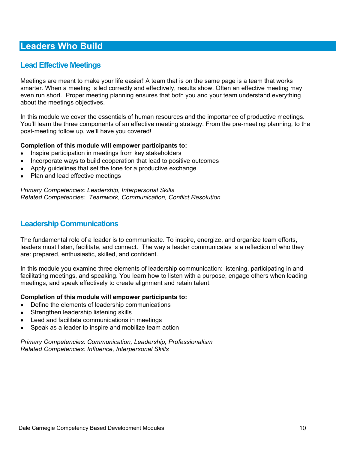## **Lead Effective Meetings**

Meetings are meant to make your life easier! A team that is on the same page is a team that works smarter. When a meeting is led correctly and effectively, results show. Often an effective meeting may even run short. Proper meeting planning ensures that both you and your team understand everything about the meetings objectives.

In this module we cover the essentials of human resources and the importance of productive meetings. You'll learn the three components of an effective meeting strategy. From the pre-meeting planning, to the post-meeting follow up, we'll have you covered!

#### **Completion of this module will empower participants to:**

- Inspire participation in meetings from key stakeholders
- Incorporate ways to build cooperation that lead to positive outcomes
- Apply guidelines that set the tone for a productive exchange
- Plan and lead effective meetings

*Primary Competencies: Leadership, Interpersonal Skills Related Competencies: Teamwork, Communication, Conflict Resolution* 

### **Leadership Communications**

The fundamental role of a leader is to communicate. To inspire, energize, and organize team efforts, leaders must listen, facilitate, and connect. The way a leader communicates is a reflection of who they are: prepared, enthusiastic, skilled, and confident.

In this module you examine three elements of leadership communication: listening, participating in and facilitating meetings, and speaking. You learn how to listen with a purpose, engage others when leading meetings, and speak effectively to create alignment and retain talent.

#### **Completion of this module will empower participants to:**

- Define the elements of leadership communications
- Strengthen leadership listening skills
- Lead and facilitate communications in meetings
- Speak as a leader to inspire and mobilize team action

*Primary Competencies: Communication, Leadership, Professionalism Related Competencies: Influence, Interpersonal Skills*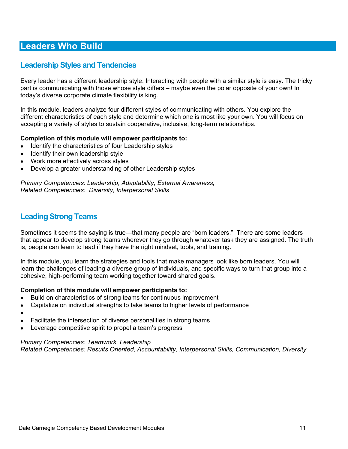## **Leadership Styles and Tendencies**

Every leader has a different leadership style. Interacting with people with a similar style is easy. The tricky part is communicating with those whose style differs – maybe even the polar opposite of your own! In today's diverse corporate climate flexibility is king.

In this module, leaders analyze four different styles of communicating with others. You explore the different characteristics of each style and determine which one is most like your own. You will focus on accepting a variety of styles to sustain cooperative, inclusive, long-term relationships.

#### **Completion of this module will empower participants to:**

- Identify the characteristics of four Leadership styles
- Identify their own leadership style
- Work more effectively across styles
- Develop a greater understanding of other Leadership styles

*Primary Competencies: Leadership, Adaptability, External Awareness, Related Competencies: Diversity, Interpersonal Skills* 

## **Leading Strong Teams**

Sometimes it seems the saying is true—that many people are "born leaders." There are some leaders that appear to develop strong teams wherever they go through whatever task they are assigned. The truth is, people can learn to lead if they have the right mindset, tools, and training.

In this module, you learn the strategies and tools that make managers look like born leaders. You will learn the challenges of leading a diverse group of individuals, and specific ways to turn that group into a cohesive, high-performing team working together toward shared goals.

#### **Completion of this module will empower participants to:**

- Build on characteristics of strong teams for continuous improvement
- Capitalize on individual strengths to take teams to higher levels of performance
- $\bullet$
- Facilitate the intersection of diverse personalities in strong teams
- Leverage competitive spirit to propel a team's progress

#### *Primary Competencies: Teamwork, Leadership*

*Related Competencies: Results Oriented, Accountability, Interpersonal Skills, Communication, Diversity*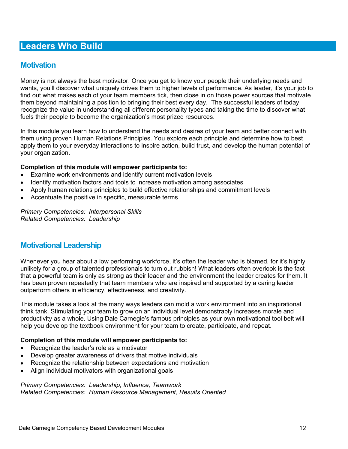### **Motivation**

Money is not always the best motivator. Once you get to know your people their underlying needs and wants, you'll discover what uniquely drives them to higher levels of performance. As leader, it's your job to find out what makes each of your team members tick, then close in on those power sources that motivate them beyond maintaining a position to bringing their best every day. The successful leaders of today recognize the value in understanding all different personality types and taking the time to discover what fuels their people to become the organization's most prized resources.

In this module you learn how to understand the needs and desires of your team and better connect with them using proven Human Relations Principles. You explore each principle and determine how to best apply them to your everyday interactions to inspire action, build trust, and develop the human potential of your organization.

#### **Completion of this module will empower participants to:**

- Examine work environments and identify current motivation levels
- Identify motivation factors and tools to increase motivation among associates
- Apply human relations principles to build effective relationships and commitment levels
- Accentuate the positive in specific, measurable terms

*Primary Competencies: Interpersonal Skills Related Competencies: Leadership* 

### **Motivational Leadership**

Whenever you hear about a low performing workforce, it's often the leader who is blamed, for it's highly unlikely for a group of talented professionals to turn out rubbish! What leaders often overlook is the fact that a powerful team is only as strong as their leader and the environment the leader creates for them. It has been proven repeatedly that team members who are inspired and supported by a caring leader outperform others in efficiency, effectiveness, and creativity.

This module takes a look at the many ways leaders can mold a work environment into an inspirational think tank. Stimulating your team to grow on an individual level demonstrably increases morale and productivity as a whole. Using Dale Carnegie's famous principles as your own motivational tool belt will help you develop the textbook environment for your team to create, participate, and repeat.

#### **Completion of this module will empower participants to:**

- Recognize the leader's role as a motivator
- Develop greater awareness of drivers that motive individuals
- Recognize the relationship between expectations and motivation
- Align individual motivators with organizational goals

*Primary Competencies: Leadership, Influence, Teamwork Related Competencies: Human Resource Management, Results Oriented*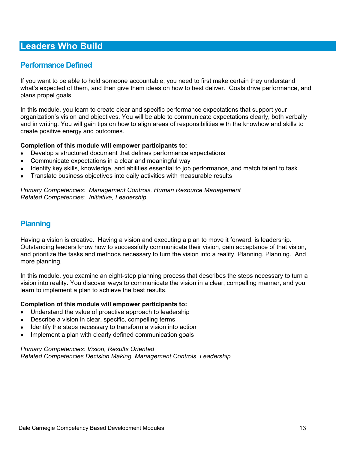## **Performance Defined**

If you want to be able to hold someone accountable, you need to first make certain they understand what's expected of them, and then give them ideas on how to best deliver. Goals drive performance, and plans propel goals.

In this module, you learn to create clear and specific performance expectations that support your organization's vision and objectives. You will be able to communicate expectations clearly, both verbally and in writing. You will gain tips on how to align areas of responsibilities with the knowhow and skills to create positive energy and outcomes.

#### **Completion of this module will empower participants to:**

- Develop a structured document that defines performance expectations
- Communicate expectations in a clear and meaningful way
- Identify key skills, knowledge, and abilities essential to job performance, and match talent to task
- Translate business objectives into daily activities with measurable results

#### *Primary Competencies: Management Controls, Human Resource Management Related Competencies: Initiative, Leadership*

### **Planning**

Having a vision is creative. Having a vision and executing a plan to move it forward, is leadership. Outstanding leaders know how to successfully communicate their vision, gain acceptance of that vision, and prioritize the tasks and methods necessary to turn the vision into a reality. Planning. Planning. And more planning.

In this module, you examine an eight-step planning process that describes the steps necessary to turn a vision into reality. You discover ways to communicate the vision in a clear, compelling manner, and you learn to implement a plan to achieve the best results.

#### **Completion of this module will empower participants to:**

- Understand the value of proactive approach to leadership
- Describe a vision in clear, specific, compelling terms
- Identify the steps necessary to transform a vision into action
- Implement a plan with clearly defined communication goals

#### *Primary Competencies: Vision, Results Oriented Related Competencies Decision Making, Management Controls, Leadership*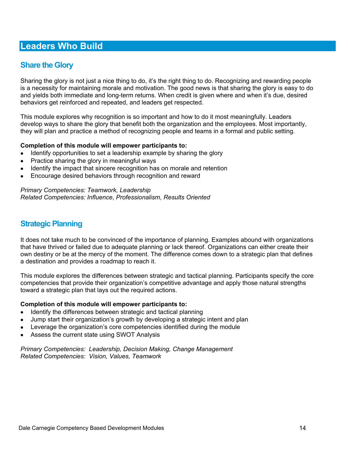## **Share the Glory**

Sharing the glory is not just a nice thing to do, it's the right thing to do. Recognizing and rewarding people is a necessity for maintaining morale and motivation. The good news is that sharing the glory is easy to do and yields both immediate and long-term returns. When credit is given where and when it's due, desired behaviors get reinforced and repeated, and leaders get respected.

This module explores why recognition is so important and how to do it most meaningfully. Leaders develop ways to share the glory that benefit both the organization and the employees. Most importantly, they will plan and practice a method of recognizing people and teams in a formal and public setting.

#### **Completion of this module will empower participants to:**

- Identify opportunities to set a leadership example by sharing the glory
- Practice sharing the glory in meaningful ways
- Identify the impact that sincere recognition has on morale and retention
- Encourage desired behaviors through recognition and reward

*Primary Competencies: Teamwork, Leadership Related Competencies: Influence, Professionalism, Results Oriented* 

### **Strategic Planning**

It does not take much to be convinced of the importance of planning. Examples abound with organizations that have thrived or failed due to adequate planning or lack thereof. Organizations can either create their own destiny or be at the mercy of the moment. The difference comes down to a strategic plan that defines a destination and provides a roadmap to reach it.

This module explores the differences between strategic and tactical planning. Participants specify the core competencies that provide their organization's competitive advantage and apply those natural strengths toward a strategic plan that lays out the required actions.

#### **Completion of this module will empower participants to:**

- Identify the differences between strategic and tactical planning
- Jump start their organization's growth by developing a strategic intent and plan
- Leverage the organization's core competencies identified during the module
- Assess the current state using SWOT Analysis

*Primary Competencies: Leadership, Decision Making, Change Management Related Competencies: Vision, Values, Teamwork*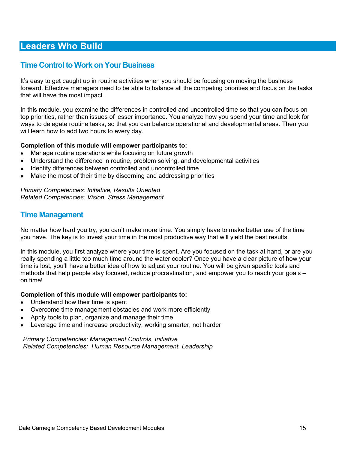### **Time Control to Work on Your Business**

It's easy to get caught up in routine activities when you should be focusing on moving the business forward. Effective managers need to be able to balance all the competing priorities and focus on the tasks that will have the most impact.

In this module, you examine the differences in controlled and uncontrolled time so that you can focus on top priorities, rather than issues of lesser importance. You analyze how you spend your time and look for ways to delegate routine tasks, so that you can balance operational and developmental areas. Then you will learn how to add two hours to every day.

#### **Completion of this module will empower participants to:**

- Manage routine operations while focusing on future growth
- Understand the difference in routine, problem solving, and developmental activities
- Identify differences between controlled and uncontrolled time
- Make the most of their time by discerning and addressing priorities

*Primary Competencies: Initiative, Results Oriented Related Competencies: Vision, Stress Management* 

### **Time Management**

No matter how hard you try, you can't make more time. You simply have to make better use of the time you have. The key is to invest your time in the most productive way that will yield the best results.

In this module, you first analyze where your time is spent. Are you focused on the task at hand, or are you really spending a little too much time around the water cooler? Once you have a clear picture of how your time is lost, you'll have a better idea of how to adjust your routine. You will be given specific tools and methods that help people stay focused, reduce procrastination, and empower you to reach your goals – on time!

#### **Completion of this module will empower participants to:**

- Understand how their time is spent
- Overcome time management obstacles and work more efficiently
- Apply tools to plan, organize and manage their time
- Leverage time and increase productivity, working smarter, not harder

*Primary Competencies: Management Controls, Initiative Related Competencies: Human Resource Management, Leadership*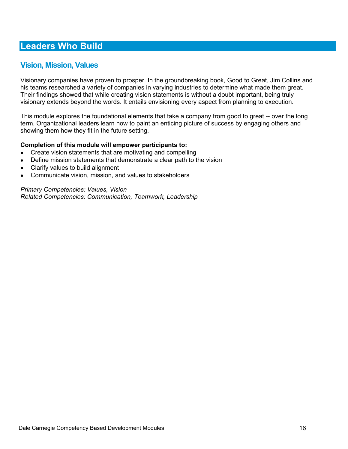## **Vision, Mission, Values**

Visionary companies have proven to prosper. In the groundbreaking book, Good to Great, Jim Collins and his teams researched a variety of companies in varying industries to determine what made them great. Their findings showed that while creating vision statements is without a doubt important, being truly visionary extends beyond the words. It entails envisioning every aspect from planning to execution.

This module explores the foundational elements that take a company from good to great -- over the long term. Organizational leaders learn how to paint an enticing picture of success by engaging others and showing them how they fit in the future setting.

#### **Completion of this module will empower participants to:**

- Create vision statements that are motivating and compelling
- Define mission statements that demonstrate a clear path to the vision
- Clarify values to build alignment
- Communicate vision, mission, and values to stakeholders

*Primary Competencies: Values, Vision Related Competencies: Communication, Teamwork, Leadership*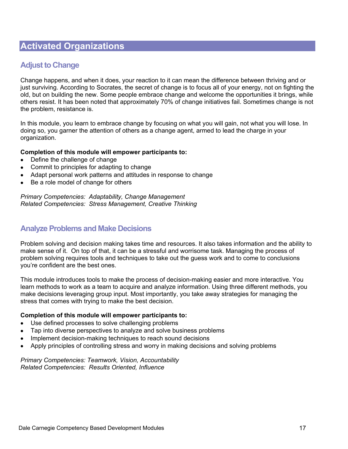## **Adjust to Change**

Change happens, and when it does, your reaction to it can mean the difference between thriving and or just surviving. According to Socrates, the secret of change is to focus all of your energy, not on fighting the old, but on building the new. Some people embrace change and welcome the opportunities it brings, while others resist. It has been noted that approximately 70% of change initiatives fail. Sometimes change is not the problem, resistance is.

In this module, you learn to embrace change by focusing on what you will gain, not what you will lose. In doing so, you garner the attention of others as a change agent, armed to lead the charge in your organization.

#### **Completion of this module will empower participants to:**

- Define the challenge of change
- Commit to principles for adapting to change
- Adapt personal work patterns and attitudes in response to change
- Be a role model of change for others

*Primary Competencies: Adaptability, Change Management Related Competencies: Stress Management, Creative Thinking* 

## **Analyze Problems and Make Decisions**

Problem solving and decision making takes time and resources. It also takes information and the ability to make sense of it. On top of that, it can be a stressful and worrisome task. Managing the process of problem solving requires tools and techniques to take out the guess work and to come to conclusions you're confident are the best ones.

This module introduces tools to make the process of decision-making easier and more interactive. You learn methods to work as a team to acquire and analyze information. Using three different methods, you make decisions leveraging group input. Most importantly, you take away strategies for managing the stress that comes with trying to make the best decision.

#### **Completion of this module will empower participants to:**

- Use defined processes to solve challenging problems
- Tap into diverse perspectives to analyze and solve business problems
- Implement decision-making techniques to reach sound decisions
- Apply principles of controlling stress and worry in making decisions and solving problems

*Primary Competencies: Teamwork, Vision, Accountability Related Competencies: Results Oriented, Influence*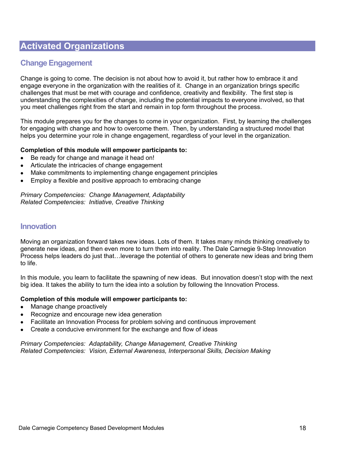## **Change Engagement**

Change is going to come. The decision is not about how to avoid it, but rather how to embrace it and engage everyone in the organization with the realities of it. Change in an organization brings specific challenges that must be met with courage and confidence, creativity and flexibility. The first step is understanding the complexities of change, including the potential impacts to everyone involved, so that you meet challenges right from the start and remain in top form throughout the process.

This module prepares you for the changes to come in your organization. First, by learning the challenges for engaging with change and how to overcome them. Then, by understanding a structured model that helps you determine your role in change engagement, regardless of your level in the organization.

#### **Completion of this module will empower participants to:**

- Be ready for change and manage it head on!
- Articulate the intricacies of change engagement
- Make commitments to implementing change engagement principles
- Employ a flexible and positive approach to embracing change

#### *Primary Competencies: Change Management, Adaptability Related Competencies: Initiative, Creative Thinking*

### **Innovation**

Moving an organization forward takes new ideas. Lots of them. It takes many minds thinking creatively to generate new ideas, and then even more to turn them into reality. The Dale Carnegie 9-Step Innovation Process helps leaders do just that…leverage the potential of others to generate new ideas and bring them to life.

In this module, you learn to facilitate the spawning of new ideas. But innovation doesn't stop with the next big idea. It takes the ability to turn the idea into a solution by following the Innovation Process.

#### **Completion of this module will empower participants to:**

- Manage change proactively
- Recognize and encourage new idea generation
- Facilitate an Innovation Process for problem solving and continuous improvement
- Create a conducive environment for the exchange and flow of ideas

*Primary Competencies: Adaptability, Change Management, Creative Thinking Related Competencies: Vision, External Awareness, Interpersonal Skills, Decision Making*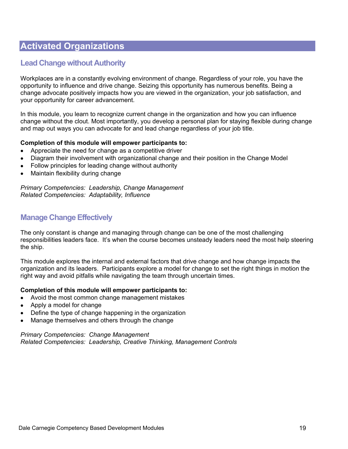## **Lead Change without Authority**

Workplaces are in a constantly evolving environment of change. Regardless of your role, you have the opportunity to influence and drive change. Seizing this opportunity has numerous benefits. Being a change advocate positively impacts how you are viewed in the organization, your job satisfaction, and your opportunity for career advancement.

In this module, you learn to recognize current change in the organization and how you can influence change without the clout. Most importantly, you develop a personal plan for staying flexible during change and map out ways you can advocate for and lead change regardless of your job title.

#### **Completion of this module will empower participants to:**

- Appreciate the need for change as a competitive driver
- Diagram their involvement with organizational change and their position in the Change Model
- Follow principles for leading change without authority
- Maintain flexibility during change

*Primary Competencies: Leadership, Change Management Related Competencies: Adaptability, Influence* 

### **Manage Change Effectively**

The only constant is change and managing through change can be one of the most challenging responsibilities leaders face. It's when the course becomes unsteady leaders need the most help steering the ship.

This module explores the internal and external factors that drive change and how change impacts the organization and its leaders. Participants explore a model for change to set the right things in motion the right way and avoid pitfalls while navigating the team through uncertain times.

#### **Completion of this module will empower participants to:**

- Avoid the most common change management mistakes
- Apply a model for change
- Define the type of change happening in the organization
- Manage themselves and others through the change

*Primary Competencies: Change Management Related Competencies: Leadership, Creative Thinking, Management Controls*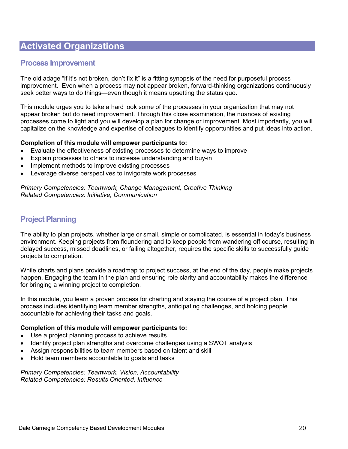### **Process Improvement**

The old adage "if it's not broken, don't fix it" is a fitting synopsis of the need for purposeful process improvement. Even when a process may not appear broken, forward-thinking organizations continuously seek better ways to do things—even though it means upsetting the status quo.

This module urges you to take a hard look some of the processes in your organization that may not appear broken but do need improvement. Through this close examination, the nuances of existing processes come to light and you will develop a plan for change or improvement. Most importantly, you will capitalize on the knowledge and expertise of colleagues to identify opportunities and put ideas into action.

#### **Completion of this module will empower participants to:**

- Evaluate the effectiveness of existing processes to determine ways to improve
- Explain processes to others to increase understanding and buy-in
- Implement methods to improve existing processes
- Leverage diverse perspectives to invigorate work processes

*Primary Competencies: Teamwork, Change Management, Creative Thinking Related Competencies: Initiative, Communication* 

## **Project Planning**

The ability to plan projects, whether large or small, simple or complicated, is essential in today's business environment. Keeping projects from floundering and to keep people from wandering off course, resulting in delayed success, missed deadlines, or failing altogether, requires the specific skills to successfully guide projects to completion.

While charts and plans provide a roadmap to project success, at the end of the day, people make projects happen. Engaging the team in the plan and ensuring role clarity and accountability makes the difference for bringing a winning project to completion.

In this module, you learn a proven process for charting and staying the course of a project plan. This process includes identifying team member strengths, anticipating challenges, and holding people accountable for achieving their tasks and goals.

#### **Completion of this module will empower participants to:**

- Use a project planning process to achieve results
- Identify project plan strengths and overcome challenges using a SWOT analysis
- Assign responsibilities to team members based on talent and skill
- Hold team members accountable to goals and tasks

*Primary Competencies: Teamwork, Vision, Accountability Related Competencies: Results Oriented, Influence*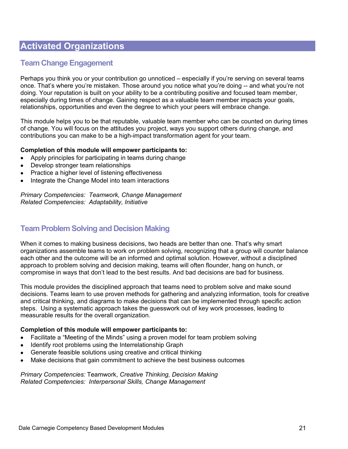## **Team Change Engagement**

Perhaps you think you or your contribution go unnoticed – especially if you're serving on several teams once. That's where you're mistaken. Those around you notice what you're doing -- and what you're not doing. Your reputation is built on your ability to be a contributing positive and focused team member, especially during times of change. Gaining respect as a valuable team member impacts your goals, relationships, opportunities and even the degree to which your peers will embrace change.

This module helps you to be that reputable, valuable team member who can be counted on during times of change. You will focus on the attitudes you project, ways you support others during change, and contributions you can make to be a high-impact transformation agent for your team.

#### **Completion of this module will empower participants to:**

- Apply principles for participating in teams during change
- Develop stronger team relationships
- Practice a higher level of listening effectiveness
- Integrate the Change Model into team interactions

*Primary Competencies: Teamwork, Change Management Related Competencies: Adaptability, Initiative* 

## **Team Problem Solving and Decision Making**

When it comes to making business decisions, two heads are better than one. That's why smart organizations assemble teams to work on problem solving, recognizing that a group will counter balance each other and the outcome will be an informed and optimal solution. However, without a disciplined approach to problem solving and decision making, teams will often flounder, hang on hunch, or compromise in ways that don't lead to the best results. And bad decisions are bad for business.

This module provides the disciplined approach that teams need to problem solve and make sound decisions. Teams learn to use proven methods for gathering and analyzing information, tools for creative and critical thinking, and diagrams to make decisions that can be implemented through specific action steps. Using a systematic approach takes the guesswork out of key work processes, leading to measurable results for the overall organization.

#### **Completion of this module will empower participants to:**

- Facilitate a "Meeting of the Minds" using a proven model for team problem solving
- Identify root problems using the Interrelationship Graph
- Generate feasible solutions using creative and critical thinking
- Make decisions that gain commitment to achieve the best business outcomes

*Primary Competencies:* Teamwork, *Creative Thinking, Decision Making Related Competencies: Interpersonal Skills, Change Management*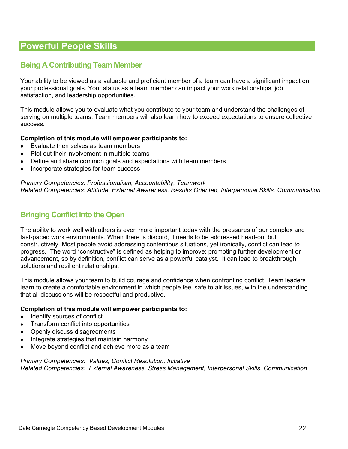## **Being A Contributing Team Member**

Your ability to be viewed as a valuable and proficient member of a team can have a significant impact on your professional goals. Your status as a team member can impact your work relationships, job satisfaction, and leadership opportunities.

This module allows you to evaluate what you contribute to your team and understand the challenges of serving on multiple teams. Team members will also learn how to exceed expectations to ensure collective success.

#### **Completion of this module will empower participants to:**

- Evaluate themselves as team members
- Plot out their involvement in multiple teams
- Define and share common goals and expectations with team members
- Incorporate strategies for team success

*Primary Competencies: Professionalism, Accountability, Teamwork Related Competencies: Attitude, External Awareness, Results Oriented, Interpersonal Skills, Communication* 

## **Bringing Conflict into the Open**

The ability to work well with others is even more important today with the pressures of our complex and fast-paced work environments. When there is discord, it needs to be addressed head-on, but constructively. Most people avoid addressing contentious situations, yet ironically, conflict can lead to progress. The word "constructive" is defined as helping to improve; promoting further development or advancement, so by definition, conflict can serve as a powerful catalyst. It can lead to breakthrough solutions and resilient relationships.

This module allows your team to build courage and confidence when confronting conflict. Team leaders learn to create a comfortable environment in which people feel safe to air issues, with the understanding that all discussions will be respectful and productive.

#### **Completion of this module will empower participants to:**

- Identify sources of conflict
- Transform conflict into opportunities
- Openly discuss disagreements
- Integrate strategies that maintain harmony
- Move beyond conflict and achieve more as a team

*Primary Competencies: Values, Conflict Resolution, Initiative Related Competencies: External Awareness, Stress Management, Interpersonal Skills, Communication*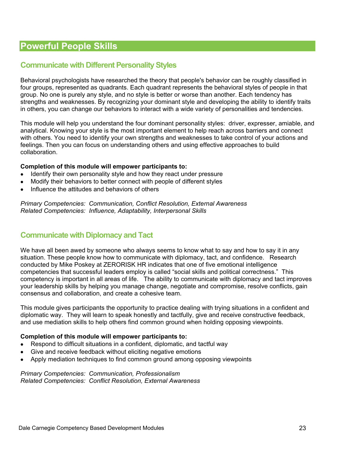### **Communicate with Different Personality Styles**

Behavioral psychologists have researched the theory that people's behavior can be roughly classified in four groups, represented as quadrants. Each quadrant represents the behavioral styles of people in that group. No one is purely any style, and no style is better or worse than another. Each tendency has strengths and weaknesses. By recognizing your dominant style and developing the ability to identify traits in others, you can change our behaviors to interact with a wide variety of personalities and tendencies.

This module will help you understand the four dominant personality styles: driver, expresser, amiable, and analytical. Knowing your style is the most important element to help reach across barriers and connect with others. You need to identify your own strengths and weaknesses to take control of your actions and feelings. Then you can focus on understanding others and using effective approaches to build collaboration.

#### **Completion of this module will empower participants to:**

- Identify their own personality style and how they react under pressure
- Modify their behaviors to better connect with people of different styles
- Influence the attitudes and behaviors of others

*Primary Competencies: Communication, Conflict Resolution, External Awareness Related Competencies: Influence, Adaptability, Interpersonal Skills* 

### **Communicate with Diplomacy and Tact**

We have all been awed by someone who always seems to know what to say and how to say it in any situation. These people know how to communicate with diplomacy, tact, and confidence. Research conducted by Mike Poskey at ZERORISK HR indicates that one of five emotional intelligence competencies that successful leaders employ is called "social skills and political correctness." This competency is important in all areas of life. The ability to communicate with diplomacy and tact improves your leadership skills by helping you manage change, negotiate and compromise, resolve conflicts, gain consensus and collaboration, and create a cohesive team.

This module gives participants the opportunity to practice dealing with trying situations in a confident and diplomatic way. They will learn to speak honestly and tactfully, give and receive constructive feedback, and use mediation skills to help others find common ground when holding opposing viewpoints.

#### **Completion of this module will empower participants to:**

- Respond to difficult situations in a confident, diplomatic, and tactful way
- Give and receive feedback without eliciting negative emotions
- Apply mediation techniques to find common ground among opposing viewpoints

*Primary Competencies: Communication, Professionalism Related Competencies: Conflict Resolution, External Awareness*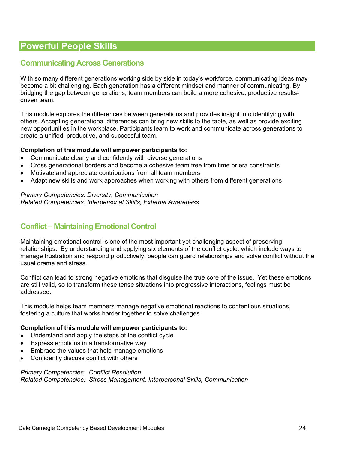## **Communicating Across Generations**

With so many different generations working side by side in today's workforce, communicating ideas may become a bit challenging. Each generation has a different mindset and manner of communicating. By bridging the gap between generations, team members can build a more cohesive, productive resultsdriven team.

This module explores the differences between generations and provides insight into identifying with others. Accepting generational differences can bring new skills to the table, as well as provide exciting new opportunities in the workplace. Participants learn to work and communicate across generations to create a unified, productive, and successful team.

#### **Completion of this module will empower participants to:**

- Communicate clearly and confidently with diverse generations
- Cross generational borders and become a cohesive team free from time or era constraints
- Motivate and appreciate contributions from all team members
- Adapt new skills and work approaches when working with others from different generations

*Primary Competencies: Diversity, Communication Related Competencies: Interpersonal Skills, External Awareness* 

## **Conflict – Maintaining Emotional Control**

Maintaining emotional control is one of the most important yet challenging aspect of preserving relationships. By understanding and applying six elements of the conflict cycle, which include ways to manage frustration and respond productively, people can guard relationships and solve conflict without the usual drama and stress.

Conflict can lead to strong negative emotions that disguise the true core of the issue. Yet these emotions are still valid, so to transform these tense situations into progressive interactions, feelings must be addressed.

This module helps team members manage negative emotional reactions to contentious situations, fostering a culture that works harder together to solve challenges.

#### **Completion of this module will empower participants to:**

- Understand and apply the steps of the conflict cycle
- Express emotions in a transformative way
- Embrace the values that help manage emotions
- Confidently discuss conflict with others

#### *Primary Competencies: Conflict Resolution*

*Related Competencies: Stress Management, Interpersonal Skills, Communication*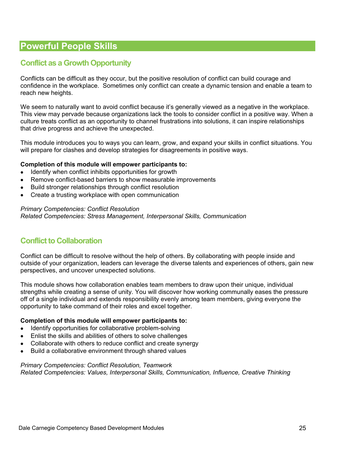## **Conflict as a Growth Opportunity**

Conflicts can be difficult as they occur, but the positive resolution of conflict can build courage and confidence in the workplace. Sometimes only conflict can create a dynamic tension and enable a team to reach new heights.

We seem to naturally want to avoid conflict because it's generally viewed as a negative in the workplace. This view may pervade because organizations lack the tools to consider conflict in a positive way. When a culture treats conflict as an opportunity to channel frustrations into solutions, it can inspire relationships that drive progress and achieve the unexpected.

This module introduces you to ways you can learn, grow, and expand your skills in conflict situations. You will prepare for clashes and develop strategies for disagreements in positive ways.

#### **Completion of this module will empower participants to:**

- Identify when conflict inhibits opportunities for growth
- Remove conflict-based barriers to show measurable improvements
- Build stronger relationships through conflict resolution
- Create a trusting workplace with open communication

#### *Primary Competencies: Conflict Resolution*

*Related Competencies: Stress Management, Interpersonal Skills, Communication* 

## **Conflict to Collaboration**

Conflict can be difficult to resolve without the help of others. By collaborating with people inside and outside of your organization, leaders can leverage the diverse talents and experiences of others, gain new perspectives, and uncover unexpected solutions.

This module shows how collaboration enables team members to draw upon their unique, individual strengths while creating a sense of unity. You will discover how working communally eases the pressure off of a single individual and extends responsibility evenly among team members, giving everyone the opportunity to take command of their roles and excel together.

#### **Completion of this module will empower participants to:**

- Identify opportunities for collaborative problem-solving
- Enlist the skills and abilities of others to solve challenges
- Collaborate with others to reduce conflict and create synergy
- Build a collaborative environment through shared values

#### *Primary Competencies: Conflict Resolution, Teamwork Related Competencies: Values, Interpersonal Skills, Communication, Influence, Creative Thinking*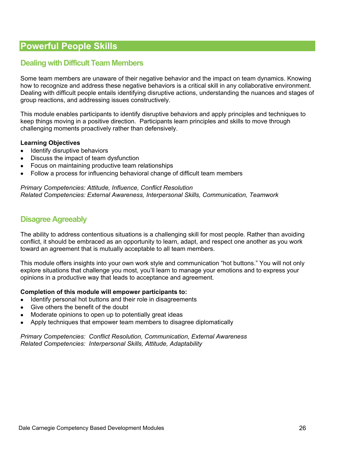## **Dealing with Difficult Team Members**

Some team members are unaware of their negative behavior and the impact on team dynamics. Knowing how to recognize and address these negative behaviors is a critical skill in any collaborative environment. Dealing with difficult people entails identifying disruptive actions, understanding the nuances and stages of group reactions, and addressing issues constructively.

This module enables participants to identify disruptive behaviors and apply principles and techniques to keep things moving in a positive direction. Participants learn principles and skills to move through challenging moments proactively rather than defensively.

#### **Learning Objectives**

- Identify disruptive behaviors
- Discuss the impact of team dysfunction
- Focus on maintaining productive team relationships
- Follow a process for influencing behavioral change of difficult team members

*Primary Competencies: Attitude, Influence, Conflict Resolution Related Competencies: External Awareness, Interpersonal Skills, Communication, Teamwork* 

### **Disagree Agreeably**

The ability to address contentious situations is a challenging skill for most people. Rather than avoiding conflict, it should be embraced as an opportunity to learn, adapt, and respect one another as you work toward an agreement that is mutually acceptable to all team members.

This module offers insights into your own work style and communication "hot buttons." You will not only explore situations that challenge you most, you'll learn to manage your emotions and to express your opinions in a productive way that leads to acceptance and agreement.

#### **Completion of this module will empower participants to:**

- Identify personal hot buttons and their role in disagreements
- Give others the benefit of the doubt
- Moderate opinions to open up to potentially great ideas
- Apply techniques that empower team members to disagree diplomatically

*Primary Competencies: Conflict Resolution, Communication, External Awareness Related Competencies: Interpersonal Skills, Attitude, Adaptability*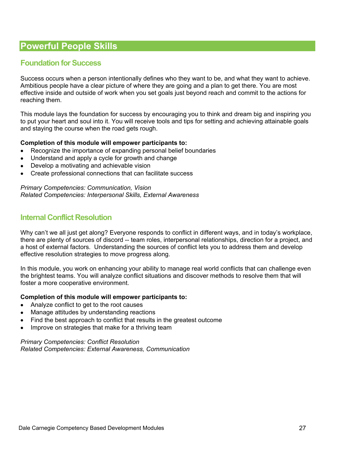## **Foundation for Success**

Success occurs when a person intentionally defines who they want to be, and what they want to achieve. Ambitious people have a clear picture of where they are going and a plan to get there. You are most effective inside and outside of work when you set goals just beyond reach and commit to the actions for reaching them.

This module lays the foundation for success by encouraging you to think and dream big and inspiring you to put your heart and soul into it. You will receive tools and tips for setting and achieving attainable goals and staying the course when the road gets rough.

#### **Completion of this module will empower participants to:**

- Recognize the importance of expanding personal belief boundaries
- Understand and apply a cycle for growth and change
- Develop a motivating and achievable vision
- Create professional connections that can facilitate success

*Primary Competencies: Communication, Vision Related Competencies: Interpersonal Skills, External Awareness* 

### **Internal Conflict Resolution**

Why can't we all just get along? Everyone responds to conflict in different ways, and in today's workplace, there are plenty of sources of discord -- team roles, interpersonal relationships, direction for a project, and a host of external factors. Understanding the sources of conflict lets you to address them and develop effective resolution strategies to move progress along.

In this module, you work on enhancing your ability to manage real world conflicts that can challenge even the brightest teams. You will analyze conflict situations and discover methods to resolve them that will foster a more cooperative environment.

#### **Completion of this module will empower participants to:**

- Analyze conflict to get to the root causes
- Manage attitudes by understanding reactions
- Find the best approach to conflict that results in the greatest outcome
- Improve on strategies that make for a thriving team

*Primary Competencies: Conflict Resolution Related Competencies: External Awareness, Communication*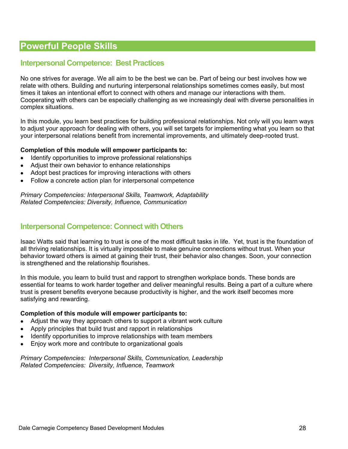### **Interpersonal Competence: Best Practices**

No one strives for average. We all aim to be the best we can be. Part of being our best involves how we relate with others. Building and nurturing interpersonal relationships sometimes comes easily, but most times it takes an intentional effort to connect with others and manage our interactions with them. Cooperating with others can be especially challenging as we increasingly deal with diverse personalities in complex situations.

In this module, you learn best practices for building professional relationships. Not only will you learn ways to adjust your approach for dealing with others, you will set targets for implementing what you learn so that your interpersonal relations benefit from incremental improvements, and ultimately deep-rooted trust.

#### **Completion of this module will empower participants to:**

- Identify opportunities to improve professional relationships
- Adjust their own behavior to enhance relationships
- Adopt best practices for improving interactions with others
- Follow a concrete action plan for interpersonal competence

*Primary Competencies: Interpersonal Skills, Teamwork, Adaptability Related Competencies: Diversity, Influence, Communication* 

### **Interpersonal Competence: Connect with Others**

Isaac Watts said that learning to trust is one of the most difficult tasks in life. Yet, trust is the foundation of all thriving relationships. It is virtually impossible to make genuine connections without trust. When your behavior toward others is aimed at gaining their trust, their behavior also changes. Soon, your connection is strengthened and the relationship flourishes.

In this module, you learn to build trust and rapport to strengthen workplace bonds. These bonds are essential for teams to work harder together and deliver meaningful results. Being a part of a culture where trust is present benefits everyone because productivity is higher, and the work itself becomes more satisfying and rewarding.

#### **Completion of this module will empower participants to:**

- Adjust the way they approach others to support a vibrant work culture
- Apply principles that build trust and rapport in relationships
- Identify opportunities to improve relationships with team members
- Enjoy work more and contribute to organizational goals

*Primary Competencies: Interpersonal Skills, Communication, Leadership Related Competencies: Diversity, Influence, Teamwork*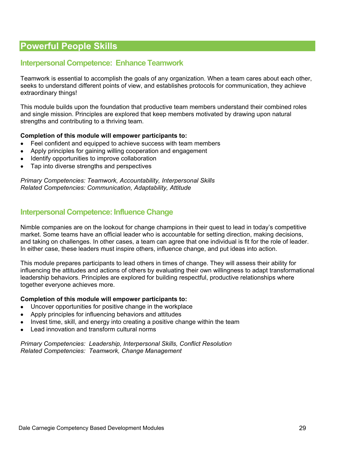## **Interpersonal Competence: Enhance Teamwork**

Teamwork is essential to accomplish the goals of any organization. When a team cares about each other, seeks to understand different points of view, and establishes protocols for communication, they achieve extraordinary things!

This module builds upon the foundation that productive team members understand their combined roles and single mission. Principles are explored that keep members motivated by drawing upon natural strengths and contributing to a thriving team.

#### **Completion of this module will empower participants to:**

- Feel confident and equipped to achieve success with team members
- Apply principles for gaining willing cooperation and engagement
- Identify opportunities to improve collaboration
- Tap into diverse strengths and perspectives

*Primary Competencies: Teamwork, Accountability, Interpersonal Skills Related Competencies: Communication, Adaptability, Attitude* 

### **Interpersonal Competence: Influence Change**

Nimble companies are on the lookout for change champions in their quest to lead in today's competitive market. Some teams have an official leader who is accountable for setting direction, making decisions, and taking on challenges. In other cases, a team can agree that one individual is fit for the role of leader. In either case, these leaders must inspire others, influence change, and put ideas into action.

This module prepares participants to lead others in times of change. They will assess their ability for influencing the attitudes and actions of others by evaluating their own willingness to adapt transformational leadership behaviors. Principles are explored for building respectful, productive relationships where together everyone achieves more.

#### **Completion of this module will empower participants to:**

- Uncover opportunities for positive change in the workplace
- Apply principles for influencing behaviors and attitudes
- Invest time, skill, and energy into creating a positive change within the team
- Lead innovation and transform cultural norms

*Primary Competencies: Leadership, Interpersonal Skills, Conflict Resolution Related Competencies: Teamwork, Change Management*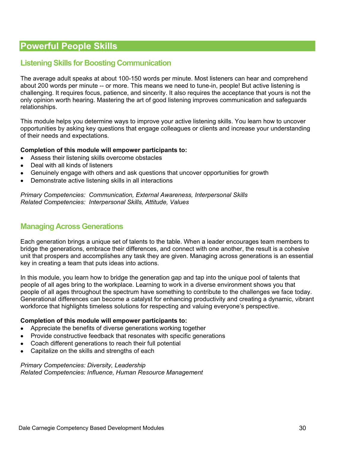## **Listening Skills for Boosting Communication**

The average adult speaks at about 100-150 words per minute. Most listeners can hear and comprehend about 200 words per minute -- or more. This means we need to tune-in, people! But active listening is challenging. It requires focus, patience, and sincerity. It also requires the acceptance that yours is not the only opinion worth hearing. Mastering the art of good listening improves communication and safeguards relationships.

This module helps you determine ways to improve your active listening skills. You learn how to uncover opportunities by asking key questions that engage colleagues or clients and increase your understanding of their needs and expectations.

#### **Completion of this module will empower participants to:**

- Assess their listening skills overcome obstacles
- Deal with all kinds of listeners
- Genuinely engage with others and ask questions that uncover opportunities for growth
- Demonstrate active listening skills in all interactions

*Primary Competencies: Communication, External Awareness, Interpersonal Skills Related Competencies: Interpersonal Skills, Attitude, Values* 

### **Managing Across Generations**

Each generation brings a unique set of talents to the table. When a leader encourages team members to bridge the generations, embrace their differences, and connect with one another, the result is a cohesive unit that prospers and accomplishes any task they are given. Managing across generations is an essential key in creating a team that puts ideas into actions.

In this module, you learn how to bridge the generation gap and tap into the unique pool of talents that people of all ages bring to the workplace. Learning to work in a diverse environment shows you that people of all ages throughout the spectrum have something to contribute to the challenges we face today. Generational differences can become a catalyst for enhancing productivity and creating a dynamic, vibrant workforce that highlights timeless solutions for respecting and valuing everyone's perspective.

#### **Completion of this module will empower participants to:**

- Appreciate the benefits of diverse generations working together
- Provide constructive feedback that resonates with specific generations
- Coach different generations to reach their full potential
- Capitalize on the skills and strengths of each

*Primary Competencies: Diversity, Leadership Related Competencies: Influence, Human Resource Management*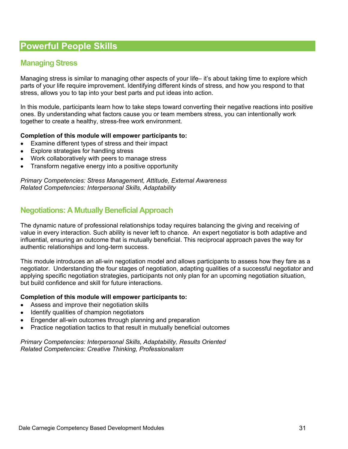## **Managing Stress**

Managing stress is similar to managing other aspects of your life– it's about taking time to explore which parts of your life require improvement. Identifying different kinds of stress, and how you respond to that stress, allows you to tap into your best parts and put ideas into action.

In this module, participants learn how to take steps toward converting their negative reactions into positive ones. By understanding what factors cause you or team members stress, you can intentionally work together to create a healthy, stress-free work environment.

#### **Completion of this module will empower participants to:**

- Examine different types of stress and their impact
- Explore strategies for handling stress
- Work collaboratively with peers to manage stress
- Transform negative energy into a positive opportunity

*Primary Competencies: Stress Management, Attitude, External Awareness Related Competencies: Interpersonal Skills, Adaptability* 

## **Negotiations: A Mutually Beneficial Approach**

The dynamic nature of professional relationships today requires balancing the giving and receiving of value in every interaction. Such ability is never left to chance. An expert negotiator is both adaptive and influential, ensuring an outcome that is mutually beneficial. This reciprocal approach paves the way for authentic relationships and long-term success.

This module introduces an all-win negotiation model and allows participants to assess how they fare as a negotiator. Understanding the four stages of negotiation, adapting qualities of a successful negotiator and applying specific negotiation strategies, participants not only plan for an upcoming negotiation situation, but build confidence and skill for future interactions.

#### **Completion of this module will empower participants to:**

- Assess and improve their negotiation skills
- Identify qualities of champion negotiators
- Engender all-win outcomes through planning and preparation
- Practice negotiation tactics to that result in mutually beneficial outcomes

*Primary Competencies: Interpersonal Skills, Adaptability, Results Oriented Related Competencies: Creative Thinking, Professionalism*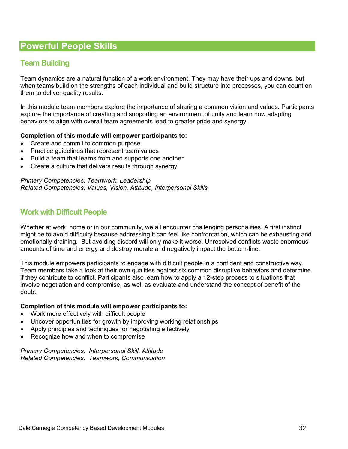## **Team Building**

Team dynamics are a natural function of a work environment. They may have their ups and downs, but when teams build on the strengths of each individual and build structure into processes, you can count on them to deliver quality results.

In this module team members explore the importance of sharing a common vision and values. Participants explore the importance of creating and supporting an environment of unity and learn how adapting behaviors to align with overall team agreements lead to greater pride and synergy.

#### **Completion of this module will empower participants to:**

- Create and commit to common purpose
- Practice guidelines that represent team values
- Build a team that learns from and supports one another
- Create a culture that delivers results through synergy

*Primary Competencies: Teamwork, Leadership Related Competencies: Values, Vision, Attitude, Interpersonal Skills* 

### **Work with Difficult People**

Whether at work, home or in our community, we all encounter challenging personalities. A first instinct might be to avoid difficulty because addressing it can feel like confrontation, which can be exhausting and emotionally draining. But avoiding discord will only make it worse. Unresolved conflicts waste enormous amounts of time and energy and destroy morale and negatively impact the bottom-line.

This module empowers participants to engage with difficult people in a confident and constructive way. Team members take a look at their own qualities against six common disruptive behaviors and determine if they contribute to conflict. Participants also learn how to apply a 12-step process to situations that involve negotiation and compromise, as well as evaluate and understand the concept of benefit of the doubt.

#### **Completion of this module will empower participants to:**

- Work more effectively with difficult people
- Uncover opportunities for growth by improving working relationships
- Apply principles and techniques for negotiating effectively
- Recognize how and when to compromise

*Primary Competencies: Interpersonal Skill, Attitude Related Competencies: Teamwork, Communication*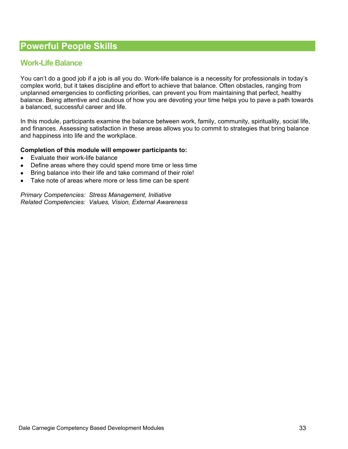## **Work-Life Balance**

You can't do a good job if a job is all you do. Work-life balance is a necessity for professionals in today's complex world, but it takes discipline and effort to achieve that balance. Often obstacles, ranging from unplanned emergencies to conflicting priorities, can prevent you from maintaining that perfect, healthy balance. Being attentive and cautious of how you are devoting your time helps you to pave a path towards a balanced, successful career and life.

In this module, participants examine the balance between work, family, community, spirituality, social life, and finances. Assessing satisfaction in these areas allows you to commit to strategies that bring balance and happiness into life and the workplace.

#### **Completion of this module will empower participants to:**

- Evaluate their work-life balance
- Define areas where they could spend more time or less time
- Bring balance into their life and take command of their role!
- Take note of areas where more or less time can be spent

*Primary Competencies: Stress Management, Initiative Related Competencies: Values, Vision, External Awareness*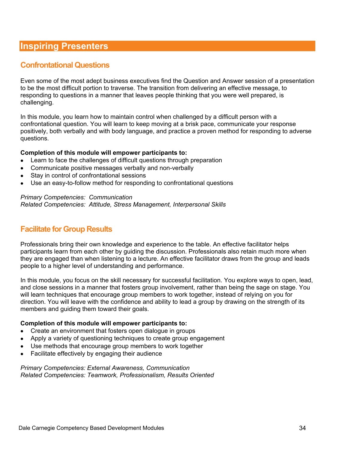## **Confrontational Questions**

Even some of the most adept business executives find the Question and Answer session of a presentation to be the most difficult portion to traverse. The transition from delivering an effective message, to responding to questions in a manner that leaves people thinking that you were well prepared, is challenging.

In this module, you learn how to maintain control when challenged by a difficult person with a confrontational question. You will learn to keep moving at a brisk pace, communicate your response positively, both verbally and with body language, and practice a proven method for responding to adverse questions.

#### **Completion of this module will empower participants to:**

- Learn to face the challenges of difficult questions through preparation
- Communicate positive messages verbally and non-verbally
- Stay in control of confrontational sessions
- Use an easy-to-follow method for responding to confrontational questions

#### *Primary Competencies: Communication*

*Related Competencies: Attitude, Stress Management, Interpersonal Skills* 

## **Facilitate for Group Results**

Professionals bring their own knowledge and experience to the table. An effective facilitator helps participants learn from each other by guiding the discussion. Professionals also retain much more when they are engaged than when listening to a lecture. An effective facilitator draws from the group and leads people to a higher level of understanding and performance.

In this module, you focus on the skill necessary for successful facilitation. You explore ways to open, lead, and close sessions in a manner that fosters group involvement, rather than being the sage on stage. You will learn techniques that encourage group members to work together, instead of relying on you for direction. You will leave with the confidence and ability to lead a group by drawing on the strength of its members and guiding them toward their goals.

#### **Completion of this module will empower participants to:**

- Create an environment that fosters open dialogue in groups
- Apply a variety of questioning techniques to create group engagement
- Use methods that encourage group members to work together
- Facilitate effectively by engaging their audience

*Primary Competencies: External Awareness, Communication Related Competencies: Teamwork, Professionalism, Results Oriented*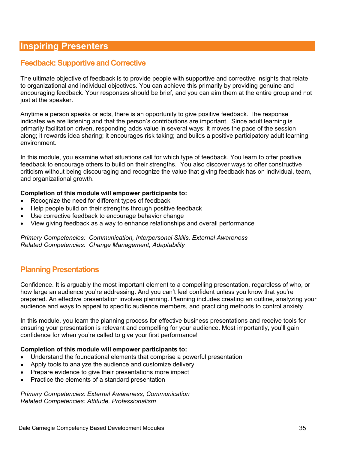## **Feedback: Supportive and Corrective**

The ultimate objective of feedback is to provide people with supportive and corrective insights that relate to organizational and individual objectives. You can achieve this primarily by providing genuine and encouraging feedback. Your responses should be brief, and you can aim them at the entire group and not just at the speaker.

Anytime a person speaks or acts, there is an opportunity to give positive feedback. The response indicates we are listening and that the person's contributions are important. Since adult learning is primarily facilitation driven, responding adds value in several ways: it moves the pace of the session along; it rewards idea sharing; it encourages risk taking; and builds a positive participatory adult learning environment.

In this module, you examine what situations call for which type of feedback. You learn to offer positive feedback to encourage others to build on their strengths. You also discover ways to offer constructive criticism without being discouraging and recognize the value that giving feedback has on individual, team, and organizational growth.

#### **Completion of this module will empower participants to:**

- Recognize the need for different types of feedback
- Help people build on their strengths through positive feedback
- Use corrective feedback to encourage behavior change
- View giving feedback as a way to enhance relationships and overall performance

*Primary Competencies: Communication, Interpersonal Skills, External Awareness Related Competencies: Change Management, Adaptability* 

## **Planning Presentations**

Confidence. It is arguably the most important element to a compelling presentation, regardless of who, or how large an audience you're addressing. And you can't feel confident unless you know that you're prepared. An effective presentation involves planning. Planning includes creating an outline, analyzing your audience and ways to appeal to specific audience members, and practicing methods to control anxiety.

In this module, you learn the planning process for effective business presentations and receive tools for ensuring your presentation is relevant and compelling for your audience. Most importantly, you'll gain confidence for when you're called to give your first performance!

#### **Completion of this module will empower participants to:**

- Understand the foundational elements that comprise a powerful presentation
- Apply tools to analyze the audience and customize delivery
- Prepare evidence to give their presentations more impact
- Practice the elements of a standard presentation

*Primary Competencies: External Awareness, Communication Related Competencies: Attitude, Professionalism*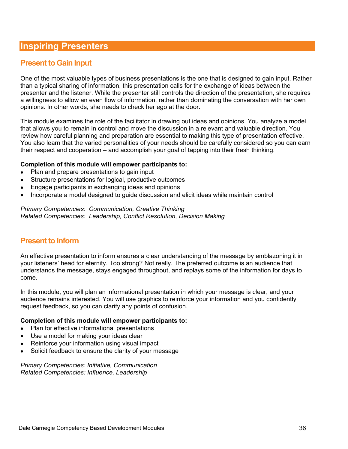## **Present to Gain Input**

One of the most valuable types of business presentations is the one that is designed to gain input. Rather than a typical sharing of information, this presentation calls for the exchange of ideas between the presenter and the listener. While the presenter still controls the direction of the presentation, she requires a willingness to allow an even flow of information, rather than dominating the conversation with her own opinions. In other words, she needs to check her ego at the door.

This module examines the role of the facilitator in drawing out ideas and opinions. You analyze a model that allows you to remain in control and move the discussion in a relevant and valuable direction. You review how careful planning and preparation are essential to making this type of presentation effective. You also learn that the varied personalities of your needs should be carefully considered so you can earn their respect and cooperation – and accomplish your goal of tapping into their fresh thinking.

#### **Completion of this module will empower participants to:**

- Plan and prepare presentations to gain input
- Structure presentations for logical, productive outcomes
- Engage participants in exchanging ideas and opinions
- Incorporate a model designed to guide discussion and elicit ideas while maintain control

*Primary Competencies: Communication, Creative Thinking Related Competencies: Leadership, Conflict Resolution, Decision Making* 

## **Present to Inform**

An effective presentation to inform ensures a clear understanding of the message by emblazoning it in your listeners' head for eternity. Too strong? Not really. The preferred outcome is an audience that understands the message, stays engaged throughout, and replays some of the information for days to come.

In this module, you will plan an informational presentation in which your message is clear, and your audience remains interested. You will use graphics to reinforce your information and you confidently request feedback, so you can clarify any points of confusion.

#### **Completion of this module will empower participants to:**

- Plan for effective informational presentations
- Use a model for making your ideas clear
- Reinforce your information using visual impact
- Solicit feedback to ensure the clarity of your message

*Primary Competencies: Initiative, Communication Related Competencies: Influence, Leadership*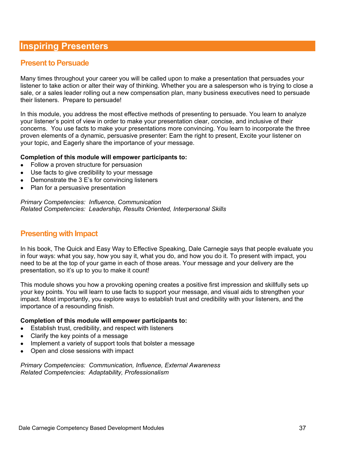### **Present to Persuade**

Many times throughout your career you will be called upon to make a presentation that persuades your listener to take action or alter their way of thinking. Whether you are a salesperson who is trying to close a sale, or a sales leader rolling out a new compensation plan, many business executives need to persuade their listeners. Prepare to persuade!

In this module, you address the most effective methods of presenting to persuade. You learn to analyze your listener's point of view in order to make your presentation clear, concise, and inclusive of their concerns. You use facts to make your presentations more convincing. You learn to incorporate the three proven elements of a dynamic, persuasive presenter: Earn the right to present, Excite your listener on your topic, and Eagerly share the importance of your message.

#### **Completion of this module will empower participants to:**

- Follow a proven structure for persuasion
- Use facts to give credibility to your message
- Demonstrate the 3 E's for convincing listeners
- Plan for a persuasive presentation

*Primary Competencies: Influence, Communication Related Competencies: Leadership, Results Oriented, Interpersonal Skills* 

### **Presenting with Impact**

In his book, The Quick and Easy Way to Effective Speaking, Dale Carnegie says that people evaluate you in four ways: what you say, how you say it, what you do, and how you do it. To present with impact, you need to be at the top of your game in each of those areas. Your message and your delivery are the presentation, so it's up to you to make it count!

This module shows you how a provoking opening creates a positive first impression and skillfully sets up your key points. You will learn to use facts to support your message, and visual aids to strengthen your impact. Most importantly, you explore ways to establish trust and credibility with your listeners, and the importance of a resounding finish.

#### **Completion of this module will empower participants to:**

- Establish trust, credibility, and respect with listeners
- Clarify the key points of a message
- Implement a variety of support tools that bolster a message
- Open and close sessions with impact

*Primary Competencies: Communication, Influence, External Awareness Related Competencies: Adaptability, Professionalism*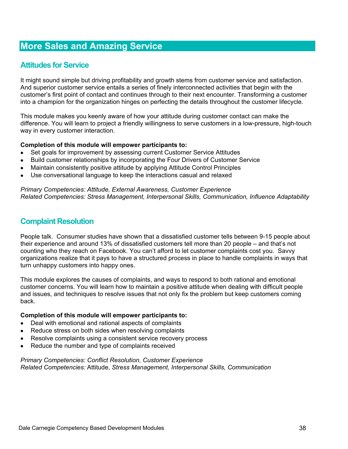### **Attitudes for Service**

It might sound simple but driving profitability and growth stems from customer service and satisfaction. And superior customer service entails a series of finely interconnected activities that begin with the customer's first point of contact and continues through to their next encounter. Transforming a customer into a champion for the organization hinges on perfecting the details throughout the customer lifecycle.

This module makes you keenly aware of how your attitude during customer contact can make the difference. You will learn to project a friendly willingness to serve customers in a low-pressure, high-touch way in every customer interaction.

#### **Completion of this module will empower participants to:**

- Set goals for improvement by assessing current Customer Service Attitudes
- Build customer relationships by incorporating the Four Drivers of Customer Service
- Maintain consistently positive attitude by applying Attitude Control Principles
- Use conversational language to keep the interactions casual and relaxed

*Primary Competencies: Attitude, External Awareness, Customer Experience Related Competencies: Stress Management, Interpersonal Skills, Communication, Influence Adaptability* 

### **Complaint Resolution**

People talk. Consumer studies have shown that a dissatisfied customer tells between 9-15 people about their experience and around 13% of dissatisfied customers tell more than 20 people – and that's not counting who they reach on Facebook. You can't afford to let customer complaints cost you. Savvy organizations realize that it pays to have a structured process in place to handle complaints in ways that turn unhappy customers into happy ones.

This module explores the causes of complaints, and ways to respond to both rational and emotional customer concerns. You will learn how to maintain a positive attitude when dealing with difficult people and issues, and techniques to resolve issues that not only fix the problem but keep customers coming back.

#### **Completion of this module will empower participants to:**

- Deal with emotional and rational aspects of complaints
- Reduce stress on both sides when resolving complaints
- Resolve complaints using a consistent service recovery process
- Reduce the number and type of complaints received

*Primary Competencies: Conflict Resolution, Customer Experience Related Competencies:* Attitude, *Stress Management, Interpersonal Skills, Communication*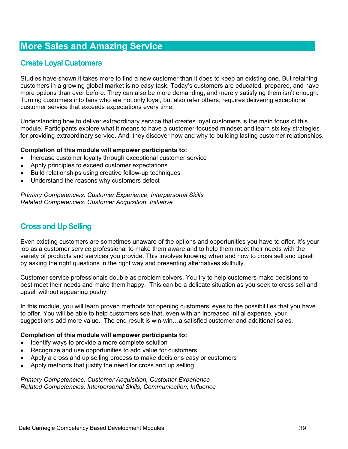## **Create Loyal Customers**

Studies have shown it takes more to find a new customer than it does to keep an existing one. But retaining customers in a growing global market is no easy task. Today's customers are educated, prepared, and have more options than ever before. They can also be more demanding, and merely satisfying them isn't enough. Turning customers into fans who are not only loyal, but also refer others, requires delivering exceptional customer service that exceeds expectations every time.

Understanding how to deliver extraordinary service that creates loyal customers is the main focus of this module. Participants explore what it means to have a customer-focused mindset and learn six key strategies for providing extraordinary service. And, they discover how and why to building lasting customer relationships.

#### **Completion of this module will empower participants to:**

- Increase customer loyalty through exceptional customer service
- Apply principles to exceed customer expectations
- Build relationships using creative follow-up techniques
- Understand the reasons why customers defect

*Primary Competencies: Customer Experience, Interpersonal Skills Related Competencies: Customer Acquisition, Initiative* 

## **Cross and Up Selling**

Even existing customers are sometimes unaware of the options and opportunities you have to offer. It's your job as a customer service professional to make them aware and to help them meet their needs with the variety of products and services you provide. This involves knowing when and how to cross sell and upsell by asking the right questions in the right way and presenting alternatives skillfully.

Customer service professionals double as problem solvers. You try to help customers make decisions to best meet their needs and make them happy. This can be a delicate situation as you seek to cross sell and upsell without appearing pushy.

In this module, you will learn proven methods for opening customers' eyes to the possibilities that you have to offer. You will be able to help customers see that, even with an increased initial expense, your suggestions add more value. The end result is win-win…a satisfied customer and additional sales.

#### **Completion of this module will empower participants to:**

- Identify ways to provide a more complete solution
- Recognize and use opportunities to add value for customers
- Apply a cross and up selling process to make decisions easy or customers
- Apply methods that justify the need for cross and up selling

*Primary Competencies: Customer Acquisition, Customer Experience Related Competencies: Interpersonal Skills, Communication, Influence*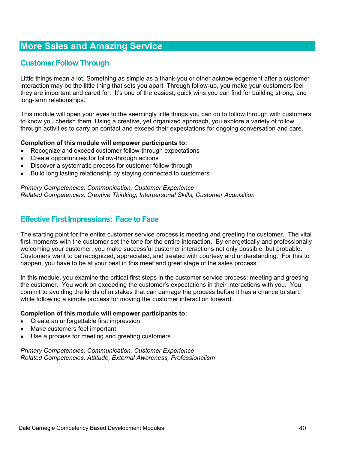## **Customer Follow Through**

Little things mean a lot. Something as simple as a thank-you or other acknowledgement after a customer interaction may be the little thing that sets you apart. Through follow-up, you make your customers feel they are important and cared for. It's one of the easiest, quick wins you can find for building strong, and long-term relationships.

This module will open your eyes to the seemingly little things you can do to follow through with customers to know you cherish them. Using a creative, yet organized approach, you explore a variety of follow through activities to carry on contact and exceed their expectations for ongoing conversation and care.

#### **Completion of this module will empower participants to:**

- Recognize and exceed customer follow-through expectations
- Create opportunities for follow-through actions
- Discover a systematic process for customer follow-through
- Build long lasting relationship by staying connected to customers

#### *Primary Competencies: Communication, Customer Experience Related Competencies: Creative Thinking, Interpersonal Skills, Customer Acquisition*

### **Effective First Impressions: Face to Face**

The starting point for the entire customer service process is meeting and greeting the customer. The vital first moments with the customer set the tone for the entire interaction. By energetically and professionally welcoming your customer, you make successful customer interactions not only possible, but probable. Customers want to be recognized, appreciated, and treated with courtesy and understanding. For this to happen, you have to be at your best in this meet and greet stage of the sales process.

In this module, you examine the critical first steps in the customer service process: meeting and greeting the customer. You work on exceeding the customer's expectations in their interactions with you. You commit to avoiding the kinds of mistakes that can damage the process before it has a chance to start, while following a simple process for moving the customer interaction forward.

#### **Completion of this module will empower participants to:**

- Create an unforgettable first impression
- Make customers feel important
- Use a process for meeting and greeting customers

*Primary Competencies: Communication, Customer Experience Related Competencies: Attitude, External Awareness, Professionalism*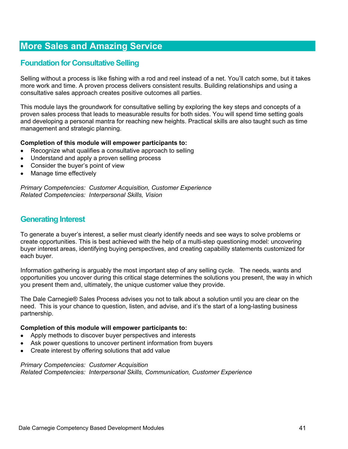## **Foundation for Consultative Selling**

Selling without a process is like fishing with a rod and reel instead of a net. You'll catch some, but it takes more work and time. A proven process delivers consistent results. Building relationships and using a consultative sales approach creates positive outcomes all parties.

This module lays the groundwork for consultative selling by exploring the key steps and concepts of a proven sales process that leads to measurable results for both sides. You will spend time setting goals and developing a personal mantra for reaching new heights. Practical skills are also taught such as time management and strategic planning.

#### **Completion of this module will empower participants to:**

- Recognize what qualifies a consultative approach to selling
- Understand and apply a proven selling process
- Consider the buyer's point of view
- Manage time effectively

*Primary Competencies: Customer Acquisition, Customer Experience Related Competencies: Interpersonal Skills, Vision* 

### **Generating Interest**

To generate a buyer's interest, a seller must clearly identify needs and see ways to solve problems or create opportunities. This is best achieved with the help of a multi-step questioning model: uncovering buyer interest areas, identifying buying perspectives, and creating capability statements customized for each buyer.

Information gathering is arguably the most important step of any selling cycle. The needs, wants and opportunities you uncover during this critical stage determines the solutions you present, the way in which you present them and, ultimately, the unique customer value they provide.

The Dale Carnegie® Sales Process advises you not to talk about a solution until you are clear on the need. This is your chance to question, listen, and advise, and it's the start of a long-lasting business partnership.

#### **Completion of this module will empower participants to:**

- Apply methods to discover buyer perspectives and interests
- Ask power questions to uncover pertinent information from buyers
- Create interest by offering solutions that add value

*Primary Competencies: Customer Acquisition Related Competencies: Interpersonal Skills, Communication, Customer Experience*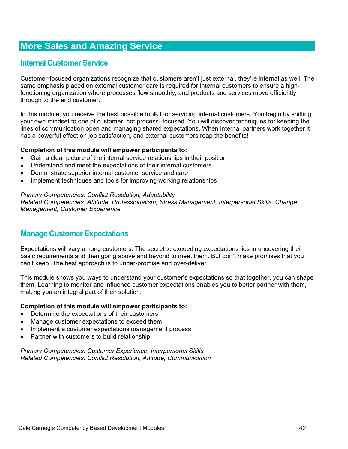## **Internal Customer Service**

Customer-focused organizations recognize that customers aren't just external, they're internal as well. The same emphasis placed on external customer care is required for internal customers to ensure a highfunctioning organization where processes flow smoothly, and products and services move efficiently through to the end customer.

In this module, you receive the best possible toolkit for servicing internal customers. You begin by shifting your own mindset to one of customer, not process- focused. You will discover techniques for keeping the lines of communication open and managing shared expectations. When internal partners work together it has a powerful effect on job satisfaction, and external customers reap the benefits!

#### **Completion of this module will empower participants to:**

- Gain a clear picture of the internal service relationships in their position
- Understand and meet the expectations of their internal customers
- Demonstrate superior internal customer service and care
- Implement techniques and tools for improving working relationships

#### *Primary Competencies: Conflict Resolution, Adaptability*

*Related Competencies: Attitude, Professionalism, Stress Management, Interpersonal Skills, Change Management, Customer Experience* 

## **Manage Customer Expectations**

Expectations will vary among customers. The secret to exceeding expectations lies in uncovering their basic requirements and then going above and beyond to meet them. But don't make promises that you can't keep. The best approach is to under-promise and over-deliver.

This module shows you ways to understand your customer's expectations so that together, you can shape them. Learning to monitor and influence customer expectations enables you to better partner with them, making you an integral part of their solution.

#### **Completion of this module will empower participants to:**

- Determine the expectations of their customers
- Manage customer expectations to exceed them
- Implement a customer expectations management process
- Partner with customers to build relationship

*Primary Competencies: Customer Experience, Interpersonal Skills Related Competencies: Conflict Resolution, Attitude, Communication*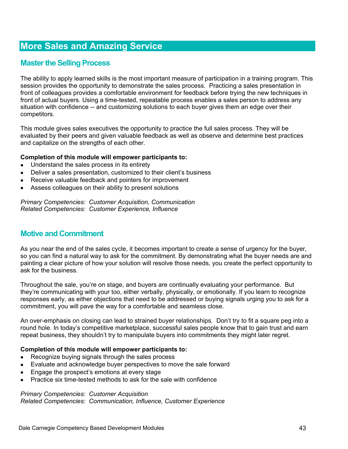## **Master the Selling Process**

The ability to apply learned skills is the most important measure of participation in a training program. This session provides the opportunity to demonstrate the sales process. Practicing a sales presentation in front of colleagues provides a comfortable environment for feedback before trying the new techniques in front of actual buyers. Using a time-tested, repeatable process enables a sales person to address any situation with confidence -- and customizing solutions to each buyer gives them an edge over their competitors.

This module gives sales executives the opportunity to practice the full sales process. They will be evaluated by their peers and given valuable feedback as well as observe and determine best practices and capitalize on the strengths of each other.

#### **Completion of this module will empower participants to:**

- Understand the sales process in its entirety
- Deliver a sales presentation, customized to their client's business
- Receive valuable feedback and pointers for improvement
- Assess colleagues on their ability to present solutions

*Primary Competencies: Customer Acquisition, Communication Related Competencies: Customer Experience, Influence* 

## **Motive and Commitment**

As you near the end of the sales cycle, it becomes important to create a sense of urgency for the buyer, so you can find a natural way to ask for the commitment. By demonstrating what the buyer needs are and painting a clear picture of how your solution will resolve those needs, you create the perfect opportunity to ask for the business.

Throughout the sale, you're on stage, and buyers are continually evaluating your performance. But they're communicating with your too, either verbally, physically, or emotionally. If you learn to recognize responses early, as either objections that need to be addressed or buying signals urging you to ask for a commitment, you will pave the way for a comfortable and seamless close.

An over-emphasis on closing can lead to strained buyer relationships. Don't try to fit a square peg into a round hole. In today's competitive marketplace, successful sales people know that to gain trust and earn repeat business, they shouldn't try to manipulate buyers into commitments they might later regret.

#### **Completion of this module will empower participants to:**

- Recognize buying signals through the sales process
- Evaluate and acknowledge buyer perspectives to move the sale forward
- Engage the prospect's emotions at every stage
- Practice six time-tested methods to ask for the sale with confidence

#### *Primary Competencies: Customer Acquisition*

*Related Competencies: Communication, Influence, Customer Experience*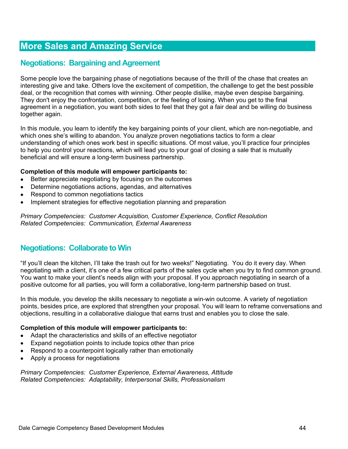## **Negotiations: Bargaining and Agreement**

Some people love the bargaining phase of negotiations because of the thrill of the chase that creates an interesting give and take. Others love the excitement of competition, the challenge to get the best possible deal, or the recognition that comes with winning. Other people dislike, maybe even despise bargaining. They don't enjoy the confrontation, competition, or the feeling of losing. When you get to the final agreement in a negotiation, you want both sides to feel that they got a fair deal and be willing do business together again.

In this module, you learn to identify the key bargaining points of your client, which are non-negotiable, and which ones she's willing to abandon. You analyze proven negotiations tactics to form a clear understanding of which ones work best in specific situations. Of most value, you'll practice four principles to help you control your reactions, which will lead you to your goal of closing a sale that is mutually beneficial and will ensure a long-term business partnership.

#### **Completion of this module will empower participants to:**

- Better appreciate negotiating by focusing on the outcomes
- Determine negotiations actions, agendas, and alternatives
- Respond to common negotiations tactics
- Implement strategies for effective negotiation planning and preparation

*Primary Competencies: Customer Acquisition, Customer Experience, Conflict Resolution Related Competencies: Communication, External Awareness* 

### **Negotiations: Collaborate to Win**

"If you'll clean the kitchen, I'll take the trash out for two weeks!" Negotiating. You do it every day. When negotiating with a client, it's one of a few critical parts of the sales cycle when you try to find common ground. You want to make your client's needs align with your proposal. If you approach negotiating in search of a positive outcome for all parties, you will form a collaborative, long-term partnership based on trust.

In this module, you develop the skills necessary to negotiate a win-win outcome. A variety of negotiation points, besides price, are explored that strengthen your proposal. You will learn to reframe conversations and objections, resulting in a collaborative dialogue that earns trust and enables you to close the sale.

#### **Completion of this module will empower participants to:**

- Adapt the characteristics and skills of an effective negotiator
- Expand negotiation points to include topics other than price
- Respond to a counterpoint logically rather than emotionally
- Apply a process for negotiations

*Primary Competencies: Customer Experience, External Awareness, Attitude Related Competencies: Adaptability, Interpersonal Skills, Professionalism*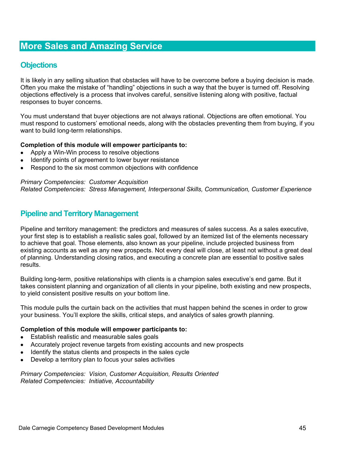### **Objections**

It is likely in any selling situation that obstacles will have to be overcome before a buying decision is made. Often you make the mistake of "handling" objections in such a way that the buyer is turned off. Resolving objections effectively is a process that involves careful, sensitive listening along with positive, factual responses to buyer concerns.

You must understand that buyer objections are not always rational. Objections are often emotional. You must respond to customers' emotional needs, along with the obstacles preventing them from buying, if you want to build long-term relationships.

#### **Completion of this module will empower participants to:**

- Apply a Win-Win process to resolve objections
- Identify points of agreement to lower buyer resistance
- Respond to the six most common objections with confidence

*Primary Competencies: Customer Acquisition Related Competencies: Stress Management, Interpersonal Skills, Communication, Customer Experience* 

### **Pipeline and Territory Management**

Pipeline and territory management: the predictors and measures of sales success. As a sales executive, your first step is to establish a realistic sales goal, followed by an itemized list of the elements necessary to achieve that goal. Those elements, also known as your pipeline, include projected business from existing accounts as well as any new prospects. Not every deal will close, at least not without a great deal of planning. Understanding closing ratios, and executing a concrete plan are essential to positive sales results.

Building long-term, positive relationships with clients is a champion sales executive's end game. But it takes consistent planning and organization of all clients in your pipeline, both existing and new prospects, to yield consistent positive results on your bottom line.

This module pulls the curtain back on the activities that must happen behind the scenes in order to grow your business. You'll explore the skills, critical steps, and analytics of sales growth planning.

#### **Completion of this module will empower participants to:**

- Establish realistic and measurable sales goals
- Accurately project revenue targets from existing accounts and new prospects
- Identify the status clients and prospects in the sales cycle
- Develop a territory plan to focus your sales activities

*Primary Competencies: Vision, Customer Acquisition, Results Oriented Related Competencies: Initiative, Accountability*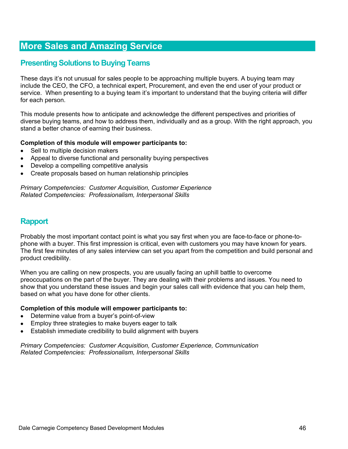## **Presenting Solutions to Buying Teams**

These days it's not unusual for sales people to be approaching multiple buyers. A buying team may include the CEO, the CFO, a technical expert, Procurement, and even the end user of your product or service. When presenting to a buying team it's important to understand that the buying criteria will differ for each person.

This module presents how to anticipate and acknowledge the different perspectives and priorities of diverse buying teams, and how to address them, individually and as a group. With the right approach, you stand a better chance of earning their business.

#### **Completion of this module will empower participants to:**

- Sell to multiple decision makers
- Appeal to diverse functional and personality buying perspectives
- Develop a compelling competitive analysis
- Create proposals based on human relationship principles

*Primary Competencies: Customer Acquisition, Customer Experience Related Competencies: Professionalism, Interpersonal Skills* 

### **Rapport**

Probably the most important contact point is what you say first when you are face-to-face or phone-tophone with a buyer. This first impression is critical, even with customers you may have known for years. The first few minutes of any sales interview can set you apart from the competition and build personal and product credibility.

When you are calling on new prospects, you are usually facing an uphill battle to overcome preoccupations on the part of the buyer. They are dealing with their problems and issues. You need to show that you understand these issues and begin your sales call with evidence that you can help them, based on what you have done for other clients.

#### **Completion of this module will empower participants to:**

- Determine value from a buyer's point-of-view
- Employ three strategies to make buyers eager to talk
- Establish immediate credibility to build alignment with buyers

*Primary Competencies: Customer Acquisition, Customer Experience, Communication Related Competencies: Professionalism, Interpersonal Skills*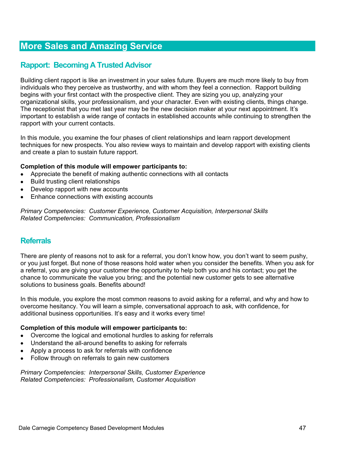## **Rapport: Becoming A Trusted Advisor**

Building client rapport is like an investment in your sales future. Buyers are much more likely to buy from individuals who they perceive as trustworthy, and with whom they feel a connection. Rapport building begins with your first contact with the prospective client. They are sizing you up, analyzing your organizational skills, your professionalism, and your character. Even with existing clients, things change. The receptionist that you met last year may be the new decision maker at your next appointment. It's important to establish a wide range of contacts in established accounts while continuing to strengthen the rapport with your current contacts.

In this module, you examine the four phases of client relationships and learn rapport development techniques for new prospects. You also review ways to maintain and develop rapport with existing clients and create a plan to sustain future rapport.

#### **Completion of this module will empower participants to:**

- Appreciate the benefit of making authentic connections with all contacts
- Build trusting client relationships
- Develop rapport with new accounts
- Enhance connections with existing accounts

*Primary Competencies: Customer Experience, Customer Acquisition, Interpersonal Skills Related Competencies: Communication, Professionalism* 

### **Referrals**

There are plenty of reasons not to ask for a referral, you don't know how, you don't want to seem pushy, or you just forget. But none of those reasons hold water when you consider the benefits. When you ask for a referral, you are giving your customer the opportunity to help both you and his contact; you get the chance to communicate the value you bring; and the potential new customer gets to see alternative solutions to business goals. Benefits abound!

In this module, you explore the most common reasons to avoid asking for a referral, and why and how to overcome hesitancy. You will learn a simple, conversational approach to ask, with confidence, for additional business opportunities. It's easy and it works every time!

#### **Completion of this module will empower participants to:**

- Overcome the logical and emotional hurdles to asking for referrals
- Understand the all-around benefits to asking for referrals
- Apply a process to ask for referrals with confidence
- Follow through on referrals to gain new customers

*Primary Competencies: Interpersonal Skills, Customer Experience Related Competencies: Professionalism, Customer Acquisition*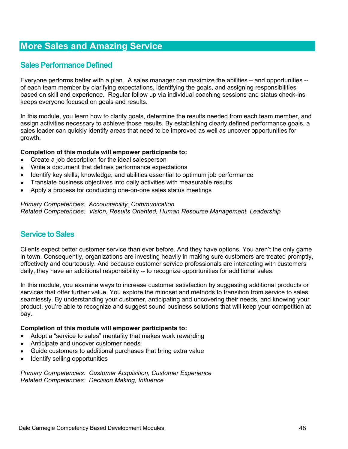## **Sales Performance Defined**

Everyone performs better with a plan. A sales manager can maximize the abilities – and opportunities - of each team member by clarifying expectations, identifying the goals, and assigning responsibilities based on skill and experience. Regular follow up via individual coaching sessions and status check-ins keeps everyone focused on goals and results.

In this module, you learn how to clarify goals, determine the results needed from each team member, and assign activities necessary to achieve those results. By establishing clearly defined performance goals, a sales leader can quickly identify areas that need to be improved as well as uncover opportunities for growth.

#### **Completion of this module will empower participants to:**

- Create a job description for the ideal salesperson
- Write a document that defines performance expectations
- Identify key skills, knowledge, and abilities essential to optimum job performance
- Translate business objectives into daily activities with measurable results
- Apply a process for conducting one-on-one sales status meetings

#### *Primary Competencies: Accountability, Communication Related Competencies: Vision, Results Oriented, Human Resource Management, Leadership*

## **Service to Sales**

Clients expect better customer service than ever before. And they have options. You aren't the only game in town. Consequently, organizations are investing heavily in making sure customers are treated promptly, effectively and courteously. And because customer service professionals are interacting with customers daily, they have an additional responsibility -- to recognize opportunities for additional sales.

In this module, you examine ways to increase customer satisfaction by suggesting additional products or services that offer further value. You explore the mindset and methods to transition from service to sales seamlessly. By understanding your customer, anticipating and uncovering their needs, and knowing your product, you're able to recognize and suggest sound business solutions that will keep your competition at bay.

#### **Completion of this module will empower participants to:**

- Adopt a "service to sales" mentality that makes work rewarding
- Anticipate and uncover customer needs
- Guide customers to additional purchases that bring extra value
- Identify selling opportunities

*Primary Competencies: Customer Acquisition, Customer Experience Related Competencies: Decision Making, Influence*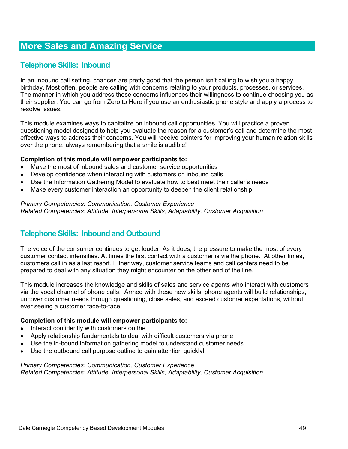## **Telephone Skills: Inbound**

In an Inbound call setting, chances are pretty good that the person isn't calling to wish you a happy birthday. Most often, people are calling with concerns relating to your products, processes, or services. The manner in which you address those concerns influences their willingness to continue choosing you as their supplier. You can go from Zero to Hero if you use an enthusiastic phone style and apply a process to resolve issues.

This module examines ways to capitalize on inbound call opportunities. You will practice a proven questioning model designed to help you evaluate the reason for a customer's call and determine the most effective ways to address their concerns. You will receive pointers for improving your human relation skills over the phone, always remembering that a smile is audible!

#### **Completion of this module will empower participants to:**

- Make the most of inbound sales and customer service opportunities
- Develop confidence when interacting with customers on inbound calls
- Use the Information Gathering Model to evaluate how to best meet their caller's needs
- Make every customer interaction an opportunity to deepen the client relationship

#### *Primary Competencies: Communication, Customer Experience Related Competencies: Attitude, Interpersonal Skills, Adaptability, Customer Acquisition*

## **Telephone Skills: Inbound and Outbound**

The voice of the consumer continues to get louder. As it does, the pressure to make the most of every customer contact intensifies. At times the first contact with a customer is via the phone. At other times, customers call in as a last resort. Either way, customer service teams and call centers need to be prepared to deal with any situation they might encounter on the other end of the line.

This module increases the knowledge and skills of sales and service agents who interact with customers via the vocal channel of phone calls. Armed with these new skills, phone agents will build relationships, uncover customer needs through questioning, close sales, and exceed customer expectations, without ever seeing a customer face-to-face!

#### **Completion of this module will empower participants to:**

- Interact confidently with customers on the
- Apply relationship fundamentals to deal with difficult customers via phone
- Use the in-bound information gathering model to understand customer needs
- Use the outbound call purpose outline to gain attention quickly!

#### *Primary Competencies: Communication, Customer Experience Related Competencies: Attitude, Interpersonal Skills, Adaptability, Customer Acquisition*